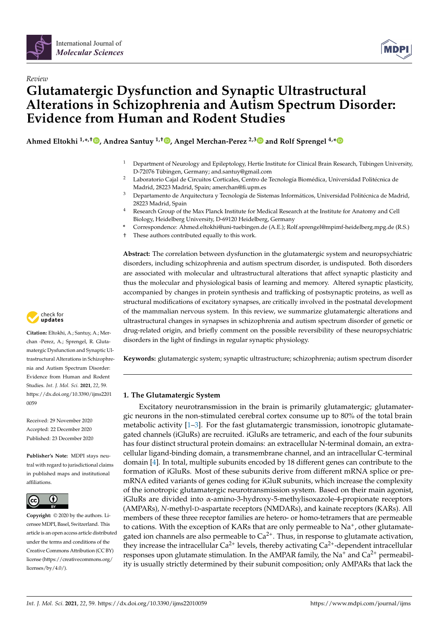



# *Review* **Glutamatergic Dysfunction and Synaptic Ultrastructural Alterations in Schizophrenia and Autism Spectrum Disorder: Evidence from Human and Rodent Studies**

**Ahmed Eltokhi 1,\* ,† [,](https://orcid.org/0000-0001-9067-5017) Andrea Santuy 1,† [,](https://orcid.org/0000-0001-6614-1031) Angel Merchan-Perez 2,[3](https://orcid.org/0000-0002-7228-5821) and Rolf Sprengel 4,[\\*](https://orcid.org/0000-0003-3370-0970)**

- <sup>1</sup> Department of Neurology and Epileptology, Hertie Institute for Clinical Brain Research, Tübingen University, D-72076 Tübingen, Germany; and.santuy@gmail.com
- <sup>2</sup> Laboratorio Cajal de Circuitos Corticales, Centro de Tecnología Biomédica, Universidad Politécnica de Madrid, 28223 Madrid, Spain; amerchan@fi.upm.es
- <sup>3</sup> Departamento de Arquitectura y Tecnología de Sistemas Informáticos, Universidad Politécnica de Madrid, 28223 Madrid, Spain
- <sup>4</sup> Research Group of the Max Planck Institute for Medical Research at the Institute for Anatomy and Cell Biology, Heidelberg University, D-69120 Heidelberg, Germany
- **\*** Correspondence: Ahmed.eltokhi@uni-tuebingen.de (A.E.); Rolf.sprengel@mpimf-heidelberg.mpg.de (R.S.)
- † These authors contributed equally to this work.

**Abstract:** The correlation between dysfunction in the glutamatergic system and neuropsychiatric disorders, including schizophrenia and autism spectrum disorder, is undisputed. Both disorders are associated with molecular and ultrastructural alterations that affect synaptic plasticity and thus the molecular and physiological basis of learning and memory. Altered synaptic plasticity, accompanied by changes in protein synthesis and trafficking of postsynaptic proteins, as well as structural modifications of excitatory synapses, are critically involved in the postnatal development of the mammalian nervous system. In this review, we summarize glutamatergic alterations and ultrastructural changes in synapses in schizophrenia and autism spectrum disorder of genetic or drug-related origin, and briefly comment on the possible reversibility of these neuropsychiatric disorders in the light of findings in regular synaptic physiology.

**Keywords:** glutamatergic system; synaptic ultrastructure; schizophrenia; autism spectrum disorder

# **1. The Glutamatergic System**

Excitatory neurotransmission in the brain is primarily glutamatergic; glutamatergic neurons in the non-stimulated cerebral cortex consume up to 80% of the total brain metabolic activity  $[1-3]$  $[1-3]$ . For the fast glutamatergic transmission, ionotropic glutamategated channels (iGluRs) are recruited. iGluRs are tetrameric, and each of the four subunits has four distinct structural protein domains: an extracellular N-terminal domain, an extracellular ligand-binding domain, a transmembrane channel, and an intracellular C-terminal domain [\[4\]](#page-15-2). In total, multiple subunits encoded by 18 different genes can contribute to the formation of iGluRs. Most of these subunits derive from different mRNA splice or premRNA edited variants of genes coding for iGluR subunits, which increase the complexity of the ionotropic glutamatergic neurotransmission system. Based on their main agonist, iGluRs are divided into α-amino-3-hydroxy-5-methylisoxazole-4-propionate receptors (AMPARs), *N*-methyl-D-aspartate receptors (NMDARs), and kainate receptors (KARs). All members of these three receptor families are hetero- or homo-tetramers that are permeable to cations. With the exception of KARs that are only permeable to Na<sup>+</sup>, other glutamategated ion channels are also permeable to  $Ca^{2+}$ . Thus, in response to glutamate activation, they increase the intracellular  $Ca^{2+}$  levels, thereby activating  $Ca^{2+}$ -dependent intracellular responses upon glutamate stimulation. In the AMPAR family, the  $Na<sup>+</sup>$  and  $Ca<sup>2+</sup>$  permeability is usually strictly determined by their subunit composition; only AMPARs that lack the



**Citation:** Eltokhi, A.; Santuy, A.; Merchan -Perez, A.; Sprengel, R. Glutamatergic Dysfunction and Synaptic Ultrastructural Alterations in Schizophrenia and Autism Spectrum Disorder: Evidence from Human and Rodent Studies. *Int. J. Mol. Sci.* **2021**, *22*, 59. [https://dx.doi.org/10.3390/ijms2201](https://dx.doi.org/10.3390/ijms22010059) [0059](https://dx.doi.org/10.3390/ijms22010059)

Received: 29 November 2020 Accepted: 22 December 2020 Published: 23 December 2020

**Publisher's Note:** MDPI stays neutral with regard to jurisdictional claims in published maps and institutional affiliations.



**Copyright:** © 2020 by the authors. Licensee MDPI, Basel, Switzerland. This article is an open access article distributed under the terms and conditions of the Creative Commons Attribution (CC BY) license [\(https://creativecommons.org/](https://creativecommons.org/licenses/by/4.0/) [licenses/by/4.0/\)](https://creativecommons.org/licenses/by/4.0/).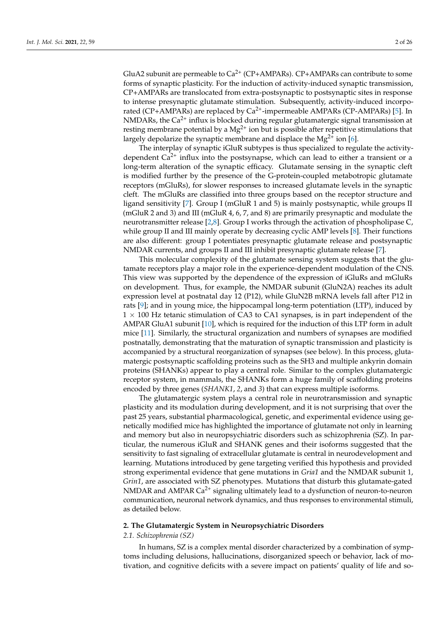GluA2 subunit are permeable to  $Ca^{2+}$  (CP+AMPARs). CP+AMPARs can contribute to some forms of synaptic plasticity. For the induction of activity-induced synaptic transmission, CP+AMPARs are translocated from extra-postsynaptic to postsynaptic sites in response to intense presynaptic glutamate stimulation. Subsequently, activity-induced incorporated (CP+AMPARs) are replaced by  $Ca^{2+}$ -impermeable AMPARs (CP-AMPARs) [\[5\]](#page-15-3). In NMDARs, the  $Ca^{2+}$  influx is blocked during regular glutamatergic signal transmission at resting membrane potential by a  $Mg^{2+}$  ion but is possible after repetitive stimulations that largely depolarize the synaptic membrane and displace the  $Mg^{2+}$  ion [\[6\]](#page-15-4).

The interplay of synaptic iGluR subtypes is thus specialized to regulate the activitydependent  $Ca^{2+}$  influx into the postsynapse, which can lead to either a transient or a long-term alteration of the synaptic efficacy. Glutamate sensing in the synaptic cleft is modified further by the presence of the G-protein-coupled metabotropic glutamate receptors (mGluRs), for slower responses to increased glutamate levels in the synaptic cleft. The mGluRs are classified into three groups based on the receptor structure and ligand sensitivity [\[7\]](#page-15-5). Group I (mGluR 1 and 5) is mainly postsynaptic, while groups II (mGluR 2 and 3) and III (mGluR 4, 6, 7, and 8) are primarily presynaptic and modulate the neurotransmitter release [\[2,](#page-15-6)[8\]](#page-15-7). Group I works through the activation of phospholipase C, while group II and III mainly operate by decreasing cyclic AMP levels [\[8\]](#page-15-7). Their functions are also different: group I potentiates presynaptic glutamate release and postsynaptic NMDAR currents, and groups II and III inhibit presynaptic glutamate release [\[7\]](#page-15-5).

This molecular complexity of the glutamate sensing system suggests that the glutamate receptors play a major role in the experience-dependent modulation of the CNS. This view was supported by the dependence of the expression of iGluRs and mGluRs on development. Thus, for example, the NMDAR subunit (GluN2A) reaches its adult expression level at postnatal day 12 (P12), while GluN2B mRNA levels fall after P12 in rats [\[9\]](#page-15-8); and in young mice, the hippocampal long-term potentiation (LTP), induced by  $1 \times 100$  Hz tetanic stimulation of CA3 to CA1 synapses, is in part independent of the AMPAR GluA1 subunit [\[10\]](#page-15-9), which is required for the induction of this LTP form in adult mice [\[11\]](#page-15-10). Similarly, the structural organization and numbers of synapses are modified postnatally, demonstrating that the maturation of synaptic transmission and plasticity is accompanied by a structural reorganization of synapses (see below). In this process, glutamatergic postsynaptic scaffolding proteins such as the SH3 and multiple ankyrin domain proteins (SHANKs) appear to play a central role. Similar to the complex glutamatergic receptor system, in mammals, the SHANKs form a huge family of scaffolding proteins encoded by three genes (*SHANK1*, *2*, and *3*) that can express multiple isoforms.

The glutamatergic system plays a central role in neurotransmission and synaptic plasticity and its modulation during development, and it is not surprising that over the past 25 years, substantial pharmacological, genetic, and experimental evidence using genetically modified mice has highlighted the importance of glutamate not only in learning and memory but also in neuropsychiatric disorders such as schizophrenia (SZ). In particular, the numerous iGluR and SHANK genes and their isoforms suggested that the sensitivity to fast signaling of extracellular glutamate is central in neurodevelopment and learning. Mutations introduced by gene targeting verified this hypothesis and provided strong experimental evidence that gene mutations in *Gria1* and the NMDAR subunit 1, *Grin1*, are associated with SZ phenotypes. Mutations that disturb this glutamate-gated NMDAR and AMPAR  $Ca^{2+}$  signaling ultimately lead to a dysfunction of neuron-to-neuron communication, neuronal network dynamics, and thus responses to environmental stimuli, as detailed below.

#### **2. The Glutamatergic System in Neuropsychiatric Disorders**

#### *2.1. Schizophrenia (SZ)*

In humans, SZ is a complex mental disorder characterized by a combination of symptoms including delusions, hallucinations, disorganized speech or behavior, lack of motivation, and cognitive deficits with a severe impact on patients' quality of life and so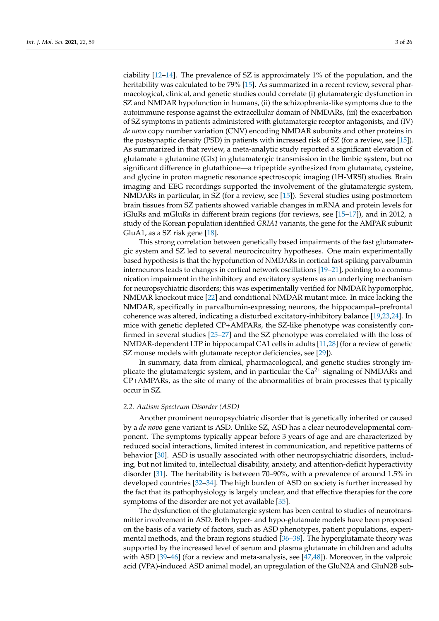ciability [\[12–](#page-15-11)[14\]](#page-15-12). The prevalence of SZ is approximately 1% of the population, and the heritability was calculated to be 79% [\[15\]](#page-15-13). As summarized in a recent review, several pharmacological, clinical, and genetic studies could correlate (i) glutamatergic dysfunction in SZ and NMDAR hypofunction in humans, (ii) the schizophrenia-like symptoms due to the autoimmune response against the extracellular domain of NMDARs, (iii) the exacerbation of SZ symptoms in patients administered with glutamatergic receptor antagonists, and (IV) *de novo* copy number variation (CNV) encoding NMDAR subunits and other proteins in the postsynaptic density (PSD) in patients with increased risk of SZ (for a review, see [\[15\]](#page-15-13)). As summarized in that review, a meta-analytic study reported a significant elevation of glutamate + glutamine (Glx) in glutamatergic transmission in the limbic system, but no significant difference in glutathione—a tripeptide synthesized from glutamate, cysteine, and glycine in proton magnetic resonance spectroscopic imaging (1H-MRSI) studies. Brain imaging and EEG recordings supported the involvement of the glutamatergic system, NMDARs in particular, in SZ (for a review, see [\[15\]](#page-15-13)). Several studies using postmortem brain tissues from SZ patients showed variable changes in mRNA and protein levels for iGluRs and mGluRs in different brain regions (for reviews, see [\[15](#page-15-13)[–17\]](#page-16-0)), and in 2012, a study of the Korean population identified *GRIA1* variants, the gene for the AMPAR subunit GluA1, as a SZ risk gene [\[18\]](#page-16-1).

This strong correlation between genetically based impairments of the fast glutamatergic system and SZ led to several neurocircuitry hypotheses. One main experimentally based hypothesis is that the hypofunction of NMDARs in cortical fast-spiking parvalbumin interneurons leads to changes in cortical network oscillations [\[19–](#page-16-2)[21\]](#page-16-3), pointing to a communication impairment in the inhibitory and excitatory systems as an underlying mechanism for neuropsychiatric disorders; this was experimentally verified for NMDAR hypomorphic, NMDAR knockout mice [\[22\]](#page-16-4) and conditional NMDAR mutant mice. In mice lacking the NMDAR, specifically in parvalbumin-expressing neurons, the hippocampal–prefrontal coherence was altered, indicating a disturbed excitatory-inhibitory balance [\[19,](#page-16-2)[23](#page-16-5)[,24\]](#page-16-6). In mice with genetic depleted CP+AMPARs, the SZ-like phenotype was consistently confirmed in several studies [\[25–](#page-16-7)[27\]](#page-16-8) and the SZ phenotype was correlated with the loss of NMDAR-dependent LTP in hippocampal CA1 cells in adults [\[11,](#page-15-10)[28\]](#page-16-9) (for a review of genetic SZ mouse models with glutamate receptor deficiencies, see [\[29\]](#page-16-10)).

In summary, data from clinical, pharmacological, and genetic studies strongly implicate the glutamatergic system, and in particular the  $Ca<sup>2+</sup>$  signaling of NMDARs and CP+AMPARs, as the site of many of the abnormalities of brain processes that typically occur in SZ.

#### *2.2. Autism Spectrum Disorder (ASD)*

Another prominent neuropsychiatric disorder that is genetically inherited or caused by a *de novo* gene variant is ASD. Unlike SZ, ASD has a clear neurodevelopmental component. The symptoms typically appear before 3 years of age and are characterized by reduced social interactions, limited interest in communication, and repetitive patterns of behavior [\[30\]](#page-16-11). ASD is usually associated with other neuropsychiatric disorders, including, but not limited to, intellectual disability, anxiety, and attention-deficit hyperactivity disorder [\[31\]](#page-16-12). The heritability is between 70–90%, with a prevalence of around 1.5% in developed countries [\[32–](#page-16-13)[34\]](#page-16-14). The high burden of ASD on society is further increased by the fact that its pathophysiology is largely unclear, and that effective therapies for the core symptoms of the disorder are not yet available [\[35\]](#page-16-15).

The dysfunction of the glutamatergic system has been central to studies of neurotransmitter involvement in ASD. Both hyper- and hypo-glutamate models have been proposed on the basis of a variety of factors, such as ASD phenotypes, patient populations, experimental methods, and the brain regions studied [\[36](#page-16-16)[–38\]](#page-16-17). The hyperglutamate theory was supported by the increased level of serum and plasma glutamate in children and adults with ASD [\[39–](#page-16-18)[46\]](#page-17-0) (for a review and meta-analysis, see [\[47](#page-17-1)[,48\]](#page-17-2)). Moreover, in the valproic acid (VPA)-induced ASD animal model, an upregulation of the GluN2A and GluN2B sub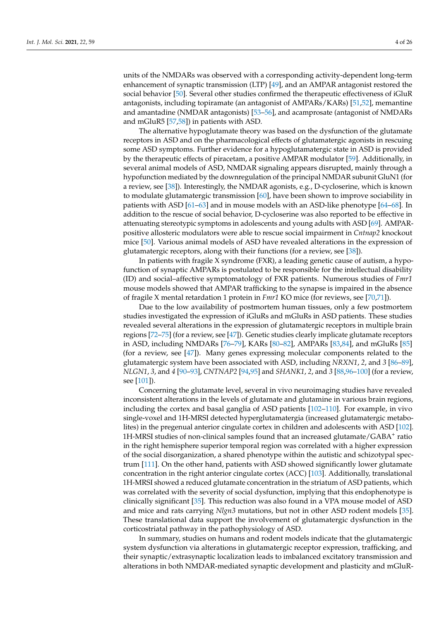units of the NMDARs was observed with a corresponding activity-dependent long-term enhancement of synaptic transmission (LTP) [\[49\]](#page-17-3), and an AMPAR antagonist restored the social behavior [\[50\]](#page-17-4). Several other studies confirmed the therapeutic effectiveness of iGluR antagonists, including topiramate (an antagonist of AMPARs/KARs) [\[51](#page-17-5)[,52\]](#page-17-6), memantine and amantadine (NMDAR antagonists) [\[53](#page-17-7)[–56\]](#page-17-8), and acamprosate (antagonist of NMDARs and mGluR5 [\[57](#page-17-9)[,58\]](#page-17-10)) in patients with ASD.

The alternative hypoglutamate theory was based on the dysfunction of the glutamate receptors in ASD and on the pharmacological effects of glutamatergic agonists in rescuing some ASD symptoms. Further evidence for a hypoglutamatergic state in ASD is provided by the therapeutic effects of piracetam, a positive AMPAR modulator [\[59\]](#page-17-11). Additionally, in several animal models of ASD, NMDAR signaling appears disrupted, mainly through a hypofunction mediated by the downregulation of the principal NMDAR subunit GluN1 (for a review, see [\[38\]](#page-16-17)). Interestingly, the NMDAR agonists, e.g., D-cycloserine, which is known to modulate glutamatergic transmission [\[60\]](#page-17-12), have been shown to improve sociability in patients with ASD [\[61–](#page-17-13)[63\]](#page-17-14) and in mouse models with an ASD-like phenotype [\[64](#page-17-15)[–68\]](#page-18-0). In addition to the rescue of social behavior, D-cycloserine was also reported to be effective in attenuating stereotypic symptoms in adolescents and young adults with ASD [\[69\]](#page-18-1). AMPARpositive allosteric modulators were able to rescue social impairment in *Cntnap2* knockout mice [\[50\]](#page-17-4). Various animal models of ASD have revealed alterations in the expression of glutamatergic receptors, along with their functions (for a review, see [\[38\]](#page-16-17)).

In patients with fragile X syndrome (FXR), a leading genetic cause of autism, a hypofunction of synaptic AMPARs is postulated to be responsible for the intellectual disability (ID) and social–affective symptomatology of FXR patients. Numerous studies of *Fmr1* mouse models showed that AMPAR trafficking to the synapse is impaired in the absence of fragile X mental retardation 1 protein in *Fmr1* KO mice (for reviews, see [\[70](#page-18-2)[,71\]](#page-18-3)).

Due to the low availability of postmortem human tissues, only a few postmortem studies investigated the expression of iGluRs and mGluRs in ASD patients. These studies revealed several alterations in the expression of glutamatergic receptors in multiple brain regions [\[72](#page-18-4)[–75\]](#page-18-5) (for a review, see [\[47\]](#page-17-1)). Genetic studies clearly implicate glutamate receptors in ASD, including NMDARs [\[76–](#page-18-6)[79\]](#page-18-7), KARs [\[80](#page-18-8)[–82\]](#page-18-9), AMPARs [\[83](#page-18-10)[,84\]](#page-18-11), and mGluRs [\[85\]](#page-18-12) (for a review, see [\[47\]](#page-17-1)). Many genes expressing molecular components related to the glutamatergic system have been associated with ASD, including *NRXN1*, *2*, and *3* [\[86–](#page-18-13)[89\]](#page-18-14), *NLGN1*, *3*, and *4* [\[90](#page-19-0)[–93\]](#page-19-1), *CNTNAP2* [\[94,](#page-19-2)[95\]](#page-19-3) and *SHANK1*, *2*, and *3* [\[88,](#page-18-15)[96–](#page-19-4)[100\]](#page-19-5) (for a review, see [\[101\]](#page-19-6)).

Concerning the glutamate level, several in vivo neuroimaging studies have revealed inconsistent alterations in the levels of glutamate and glutamine in various brain regions, including the cortex and basal ganglia of ASD patients [\[102](#page-19-7)[–110\]](#page-19-8). For example, in vivo single-voxel and 1H-MRSI detected hyperglutamatergia (increased glutamatergic metabolites) in the pregenual anterior cingulate cortex in children and adolescents with ASD [\[102\]](#page-19-7). 1H-MRSI studies of non-clinical samples found that an increased glutamate/GABA<sup>+</sup> ratio in the right hemisphere superior temporal region was correlated with a higher expression of the social disorganization, a shared phenotype within the autistic and schizotypal spectrum [\[111\]](#page-19-9). On the other hand, patients with ASD showed significantly lower glutamate concentration in the right anterior cingulate cortex (ACC) [\[103\]](#page-19-10). Additionally, translational 1H-MRSI showed a reduced glutamate concentration in the striatum of ASD patients, which was correlated with the severity of social dysfunction, implying that this endophenotype is clinically significant [\[35\]](#page-16-15). This reduction was also found in a VPA mouse model of ASD and mice and rats carrying *Nlgn3* mutations, but not in other ASD rodent models [\[35\]](#page-16-15). These translational data support the involvement of glutamatergic dysfunction in the corticostriatal pathway in the pathophysiology of ASD.

In summary, studies on humans and rodent models indicate that the glutamatergic system dysfunction via alterations in glutamatergic receptor expression, trafficking, and their synaptic/extrasynaptic localization leads to imbalanced excitatory transmission and alterations in both NMDAR-mediated synaptic development and plasticity and mGluR-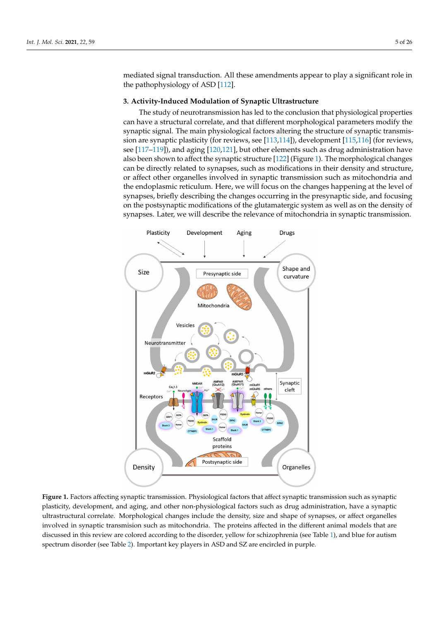mediated signal transduction. All these amendments appear to play a significant role in the pathophysiology of ASD [\[112\]](#page-19-11).

## **3. Activity-Induced Modulation of Synaptic Ultrastructure**

The study of neurotransmission has led to the conclusion that physiological properties can have a structural correlate, and that different morphological parameters modify the synaptic signal. The main physiological factors altering the structure of synaptic transmission are synaptic plasticity (for reviews, see [\[113](#page-20-0)[,114\]](#page-20-1)), development [\[115](#page-20-2)[,116\]](#page-20-3) (for reviews, see [\[117–](#page-20-4)[119\]](#page-20-5)), and aging [\[120,](#page-20-6)[121\]](#page-20-7), but other elements such as drug administration have also been shown to affect the synaptic structure [\[122\]](#page-20-8) (Figure [1\)](#page-4-0). The morphological changes can be directly related to synapses, such as modifications in their density and structure, or affect other organelles involved in synaptic transmission such as mitochondria and the endoplasmic reticulum. Here, we will focus on the changes happening at the level of synapses, briefly describing the changes occurring in the presynaptic side, and focusing on the postsynaptic modifications of the glutamatergic system as well as on the density of synapses. Later, we will describe the relevance of mitochondria in synaptic transmission.

<span id="page-4-0"></span>

Figure 1. Factors affecting synaptic transmission. Physiological factors that affect synaptic transmission such as synaptic plasticity, development, and aging, and other non-physiological factors such as drug administration, have a synaptic purplementary, and the purple, and the state that purplementaries can be and shape of synapses, or affect organelles ultrastructural correlate. Morphological changes include the density, size and shape of synapses, or affe involved in synaptic transmision such as mitochondria. The proteins affected in the different animal models that are discussed in this review are colored according to the disorder, yellow for schizophrenia (see Table [1\)](#page-5-0), and blue for autism  $\begin{array}{ccc} \text{or} & \text{if} & \text{if} & \text{if} & \text{if} & \text{if} & \text{if} & \text{if} & \text{if} & \text{if} & \text{if} & \text{if} & \text{if} & \text{if} & \text{if} & \text{if} & \text{if} & \text{if} & \text{if} & \text{if} & \text{if} & \text{if} & \text{if} & \text{if} & \text{if} & \text{if} & \text{if} & \text{if} & \text{if} & \text{if} & \text{if} & \text{if} & \text{if} & \text{if} & \text{if} & \text{$ spectrum disorder (see Table [2\)](#page-6-0). Important key players in ASD and SZ are encircled in purple.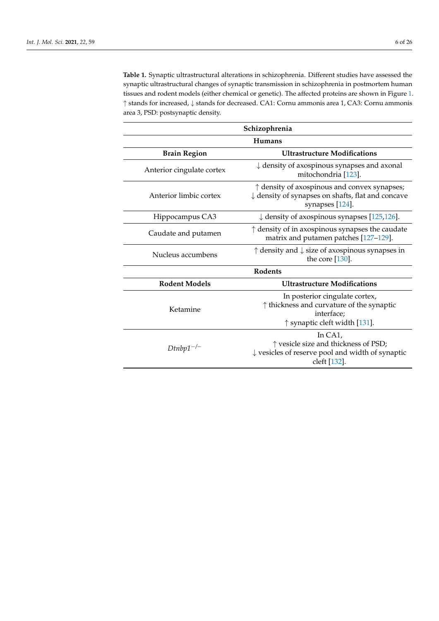<span id="page-5-0"></span>**Table 1.** Synaptic ultrastructural alterations in schizophrenia. Different studies have assessed the synaptic ultrastructural changes of synaptic transmission in schizophrenia in postmortem human tissues and rodent models (either chemical or genetic). The affected proteins are shown in Figure [1.](#page-4-0) ↑ stands for increased, ↓ stands for decreased. CA1: Cornu ammonis area 1, CA3: Cornu ammonis area 3, PSD: postsynaptic density.

| Schizophrenia             |                                                                                                                                          |
|---------------------------|------------------------------------------------------------------------------------------------------------------------------------------|
| <b>Humans</b>             |                                                                                                                                          |
| <b>Brain Region</b>       | <b>Ultrastructure Modifications</b>                                                                                                      |
| Anterior cingulate cortex | $\downarrow$ density of axospinous synapses and axonal<br>mitochondria [123].                                                            |
| Anterior limbic cortex    | $\uparrow$ density of axospinous and convex synapses;<br>$\downarrow$ density of synapses on shafts, flat and concave<br>synapses [124]. |
| Hippocampus CA3           | $\downarrow$ density of axospinous synapses [125,126].                                                                                   |
| Caudate and putamen       | $\uparrow$ density of in axospinous synapses the caudate<br>matrix and putamen patches [127-129].                                        |
| Nucleus accumbens         | $\uparrow$ density and $\downarrow$ size of axospinous synapses in<br>the core $[130]$ .                                                 |
| Rodents                   |                                                                                                                                          |
| <b>Rodent Models</b>      | <b>Ultrastructure Modifications</b>                                                                                                      |
| Ketamine                  | In posterior cingulate cortex,<br>$\uparrow$ thickness and curvature of the synaptic<br>interface;<br>↑ synaptic cleft width [131].      |
| $Dtnbp1^{-/-}$            | In $CA1$ .<br>↑ vesicle size and thickness of PSD;<br>$\downarrow$ vesicles of reserve pool and width of synaptic<br>cleft [132].        |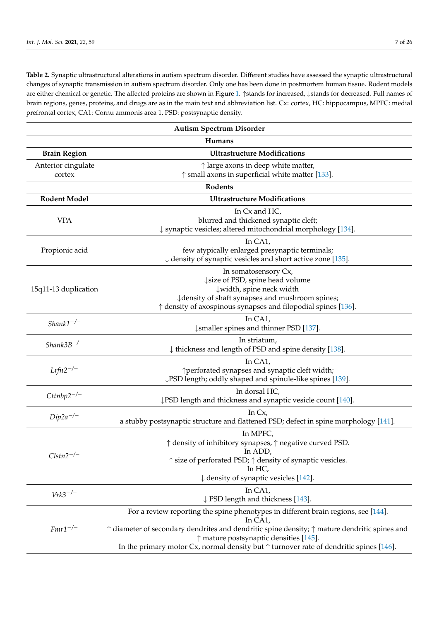<span id="page-6-0"></span>**Table 2.** Synaptic ultrastructural alterations in autism spectrum disorder. Different studies have assessed the synaptic ultrastructural changes of synaptic transmission in autism spectrum disorder. Only one has been done in postmortem human tissue. Rodent models are either chemical or genetic. The affected proteins are shown in Figure [1.](#page-4-0) ↑stands for increased, ↓stands for decreased. Full names of brain regions, genes, proteins, and drugs are as in the main text and abbreviation list. Cx: cortex, HC: hippocampus, MPFC: medial prefrontal cortex, CA1: Cornu ammonis area 1, PSD: postsynaptic density.

| <b>Autism Spectrum Disorder</b> |                                                                                                                                                                                                                                                                                                                                                                       |  |
|---------------------------------|-----------------------------------------------------------------------------------------------------------------------------------------------------------------------------------------------------------------------------------------------------------------------------------------------------------------------------------------------------------------------|--|
| Humans                          |                                                                                                                                                                                                                                                                                                                                                                       |  |
| <b>Brain Region</b>             | <b>Ultrastructure Modifications</b>                                                                                                                                                                                                                                                                                                                                   |  |
| Anterior cingulate<br>cortex    | $\uparrow$ large axons in deep white matter,<br>$\uparrow$ small axons in superficial white matter [133].                                                                                                                                                                                                                                                             |  |
| Rodents                         |                                                                                                                                                                                                                                                                                                                                                                       |  |
| <b>Rodent Model</b>             | <b>Ultrastructure Modifications</b>                                                                                                                                                                                                                                                                                                                                   |  |
| <b>VPA</b>                      | In Cx and HC,<br>blurred and thickened synaptic cleft;<br>$\downarrow$ synaptic vesicles; altered mitochondrial morphology [134].                                                                                                                                                                                                                                     |  |
| Propionic acid                  | In CA1,<br>few atypically enlarged presynaptic terminals;<br>$\downarrow$ density of synaptic vesicles and short active zone [135].                                                                                                                                                                                                                                   |  |
| 15q11-13 duplication            | In somatosensory Cx,<br>↓ size of PSD, spine head volume<br>width, spine neck width<br>↓ density of shaft synapses and mushroom spines;<br>$\uparrow$ density of axospinous synapses and filopodial spines [136].                                                                                                                                                     |  |
| $Shank1^{-/-}$                  | In CA1,<br>$\downarrow$ smaller spines and thinner PSD [137].                                                                                                                                                                                                                                                                                                         |  |
| $Shank3B^{-/-}$                 | In striatum,<br>$\downarrow$ thickness and length of PSD and spine density [138].                                                                                                                                                                                                                                                                                     |  |
| $Lrfn2^{-/-}$                   | In CA1,<br>↑ perforated synapses and synaptic cleft width;<br>↓PSD length; oddly shaped and spinule-like spines [139].                                                                                                                                                                                                                                                |  |
| $Cttnbp2^{-/-}$                 | In dorsal HC,<br>↓PSD length and thickness and synaptic vesicle count [140].                                                                                                                                                                                                                                                                                          |  |
| $Dip2a^{-/-}$                   | In Cx,<br>a stubby postsynaptic structure and flattened PSD; defect in spine morphology [141].                                                                                                                                                                                                                                                                        |  |
| $Clstn2^{-/-}$                  | In MPFC,<br>↑ density of inhibitory synapses, ↑ negative curved PSD.<br>In ADD,<br>↑ size of perforated PSD; ↑ density of synaptic vesicles.<br>In HC,<br>$\downarrow$ density of synaptic vesicles [142].                                                                                                                                                            |  |
| $Vrk3^{-/-}$                    | In $CA1$ ,<br>$\downarrow$ PSD length and thickness [143].                                                                                                                                                                                                                                                                                                            |  |
| $Fmr1^{-/-}$                    | For a review reporting the spine phenotypes in different brain regions, see [144].<br>In CA1,<br>$\uparrow$ diameter of secondary dendrites and dendritic spine density; $\uparrow$ mature dendritic spines and<br>$\uparrow$ mature postsynaptic densities [145].<br>In the primary motor Cx, normal density but $\uparrow$ turnover rate of dendritic spines [146]. |  |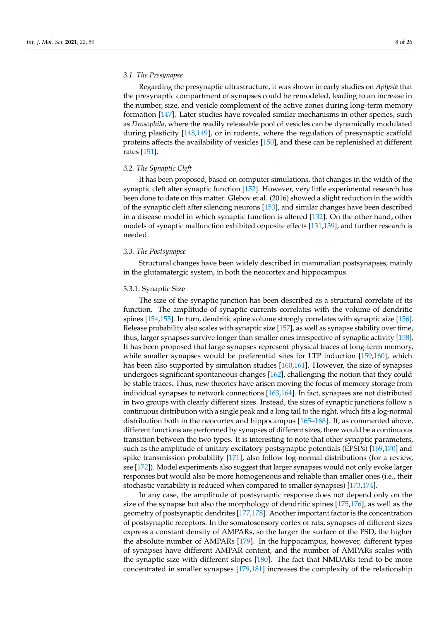#### *3.1. The Presynapse*

Regarding the presynaptic ultrastructure, it was shown in early studies on *Aplysia* that the presynaptic compartment of synapses could be remodeled, leading to an increase in the number, size, and vesicle complement of the active zones during long-term memory formation [\[147\]](#page-21-7). Later studies have revealed similar mechanisms in other species, such as *Drosophila*, where the readily releasable pool of vesicles can be dynamically modulated during plasticity [\[148](#page-21-8)[,149\]](#page-21-9), or in rodents, where the regulation of presynaptic scaffold proteins affects the availability of vesicles [\[150\]](#page-21-10), and these can be replenished at different rates [\[151\]](#page-21-11).

#### *3.2. The Synaptic Cleft*

It has been proposed, based on computer simulations, that changes in the width of the synaptic cleft alter synaptic function [\[152\]](#page-21-12). However, very little experimental research has been done to date on this matter. Glebov et al. (2016) showed a slight reduction in the width of the synaptic cleft after silencing neurons [\[153\]](#page-21-13), and similar changes have been described in a disease model in which synaptic function is altered [\[132\]](#page-20-17). On the other hand, other models of synaptic malfunction exhibited opposite effects [\[131,](#page-20-16)[139\]](#page-20-24), and further research is needed.

#### *3.3. The Postsynapse*

Structural changes have been widely described in mammalian postsynapses, mainly in the glutamatergic system, in both the neocortex and hippocampus.

#### 3.3.1. Synaptic Size

The size of the synaptic junction has been described as a structural correlate of its function. The amplitude of synaptic currents correlates with the volume of dendritic spines [\[154,](#page-21-14)[155\]](#page-21-15). In turn, dendritic spine volume strongly correlates with synaptic size [\[156\]](#page-21-16). Release probability also scales with synaptic size [\[157\]](#page-21-17), as well as synapse stability over time, thus, larger synapses survive longer than smaller ones irrespective of synaptic activity [\[158\]](#page-21-18). It has been proposed that large synapses represent physical traces of long-term memory, while smaller synapses would be preferential sites for LTP induction [\[159,](#page-21-19)[160\]](#page-21-20), which has been also supported by simulation studies [\[160,](#page-21-20)[161\]](#page-21-21). However, the size of synapses undergoes significant spontaneous changes [\[162\]](#page-21-22), challenging the notion that they could be stable traces. Thus, new theories have arisen moving the focus of memory storage from individual synapses to network connections [\[163](#page-21-23)[,164\]](#page-21-24). In fact, synapses are not distributed in two groups with clearly different sizes. Instead, the sizes of synaptic junctions follow a continuous distribution with a single peak and a long tail to the right, which fits a log-normal distribution both in the neocortex and hippocampus [\[165](#page-21-25)[–168\]](#page-21-26). If, as commented above, different functions are performed by synapses of different sizes, there would be a continuous transition between the two types. It is interesting to note that other synaptic parameters, such as the amplitude of unitary excitatory postsynaptic potentials (EPSPs) [\[169,](#page-22-0)[170\]](#page-22-1) and spike transmission probability [\[171\]](#page-22-2), also follow log-normal distributions (for a review, see [\[172\]](#page-22-3)). Model experiments also suggest that larger synapses would not only evoke larger responses but would also be more homogeneous and reliable than smaller ones (i.e., their stochastic variability is reduced when compared to smaller synapses) [\[173,](#page-22-4)[174\]](#page-22-5).

In any case, the amplitude of postsynaptic response does not depend only on the size of the synapse but also the morphology of dendritic spines [\[175](#page-22-6)[,176\]](#page-22-7), as well as the geometry of postsynaptic dendrites [\[177](#page-22-8)[,178\]](#page-22-9). Another important factor is the concentration of postsynaptic receptors. In the somatosensory cortex of rats, synapses of different sizes express a constant density of AMPARs, so the larger the surface of the PSD, the higher the absolute number of AMPARs [\[179\]](#page-22-10). In the hippocampus, however, different types of synapses have different AMPAR content, and the number of AMPARs scales with the synaptic size with different slopes [\[180\]](#page-22-11). The fact that NMDARs tend to be more concentrated in smaller synapses [\[179,](#page-22-10)[181\]](#page-22-12) increases the complexity of the relationship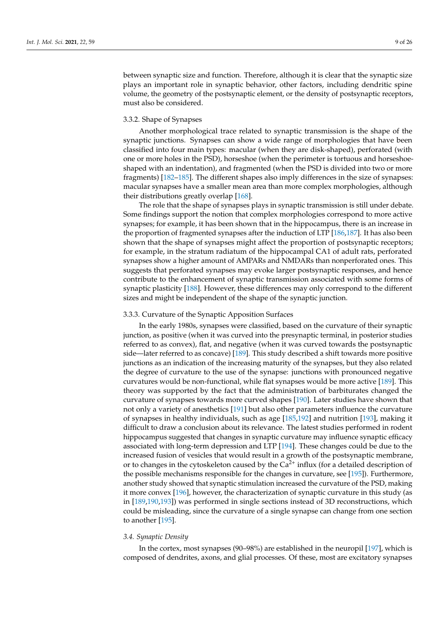between synaptic size and function. Therefore, although it is clear that the synaptic size plays an important role in synaptic behavior, other factors, including dendritic spine volume, the geometry of the postsynaptic element, or the density of postsynaptic receptors, must also be considered.

#### 3.3.2. Shape of Synapses

Another morphological trace related to synaptic transmission is the shape of the synaptic junctions. Synapses can show a wide range of morphologies that have been classified into four main types: macular (when they are disk-shaped), perforated (with one or more holes in the PSD), horseshoe (when the perimeter is tortuous and horseshoeshaped with an indentation), and fragmented (when the PSD is divided into two or more fragments) [\[182–](#page-22-13)[185\]](#page-22-14). The different shapes also imply differences in the size of synapses: macular synapses have a smaller mean area than more complex morphologies, although their distributions greatly overlap [\[168\]](#page-21-26).

The role that the shape of synapses plays in synaptic transmission is still under debate. Some findings support the notion that complex morphologies correspond to more active synapses; for example, it has been shown that in the hippocampus, there is an increase in the proportion of fragmented synapses after the induction of LTP [\[186](#page-22-15)[,187\]](#page-22-16). It has also been shown that the shape of synapses might affect the proportion of postsynaptic receptors; for example, in the stratum radiatum of the hippocampal CA1 of adult rats, perforated synapses show a higher amount of AMPARs and NMDARs than nonperforated ones. This suggests that perforated synapses may evoke larger postsynaptic responses, and hence contribute to the enhancement of synaptic transmission associated with some forms of synaptic plasticity [\[188\]](#page-22-17). However, these differences may only correspond to the different sizes and might be independent of the shape of the synaptic junction.

#### 3.3.3. Curvature of the Synaptic Apposition Surfaces

In the early 1980s, synapses were classified, based on the curvature of their synaptic junction, as positive (when it was curved into the presynaptic terminal, in posterior studies referred to as convex), flat, and negative (when it was curved towards the postsynaptic side—later referred to as concave) [\[189\]](#page-22-18). This study described a shift towards more positive junctions as an indication of the increasing maturity of the synapses, but they also related the degree of curvature to the use of the synapse: junctions with pronounced negative curvatures would be non-functional, while flat synapses would be more active [\[189\]](#page-22-18). This theory was supported by the fact that the administration of barbiturates changed the curvature of synapses towards more curved shapes [\[190\]](#page-22-19). Later studies have shown that not only a variety of anesthetics [\[191\]](#page-22-20) but also other parameters influence the curvature of synapses in healthy individuals, such as age [\[185](#page-22-14)[,192\]](#page-22-21) and nutrition [\[193\]](#page-22-22), making it difficult to draw a conclusion about its relevance. The latest studies performed in rodent hippocampus suggested that changes in synaptic curvature may influence synaptic efficacy associated with long-term depression and LTP [\[194\]](#page-22-23). These changes could be due to the increased fusion of vesicles that would result in a growth of the postsynaptic membrane, or to changes in the cytoskeleton caused by the  $Ca^{2+}$  influx (for a detailed description of the possible mechanisms responsible for the changes in curvature, see [\[195\]](#page-22-24)). Furthermore, another study showed that synaptic stimulation increased the curvature of the PSD, making it more convex [\[196\]](#page-23-0), however, the characterization of synaptic curvature in this study (as in [\[189](#page-22-18)[,190](#page-22-19)[,193\]](#page-22-22)) was performed in single sections instead of 3D reconstructions, which could be misleading, since the curvature of a single synapse can change from one section to another [\[195\]](#page-22-24).

#### *3.4. Synaptic Density*

In the cortex, most synapses (90–98%) are established in the neuropil [\[197\]](#page-23-1), which is composed of dendrites, axons, and glial processes. Of these, most are excitatory synapses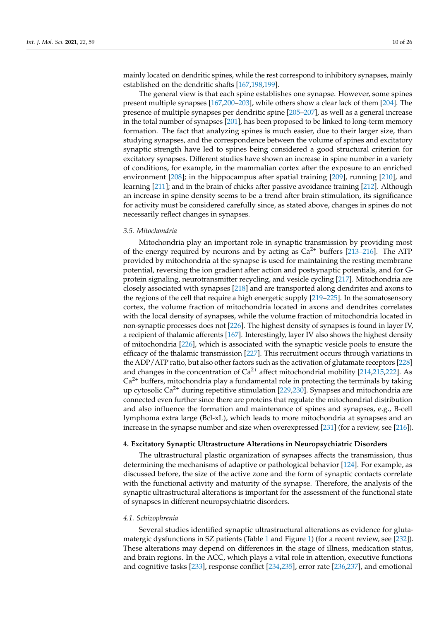mainly located on dendritic spines, while the rest correspond to inhibitory synapses, mainly established on the dendritic shafts [\[167](#page-21-27)[,198](#page-23-2)[,199\]](#page-23-3).

The general view is that each spine establishes one synapse. However, some spines present multiple synapses [\[167,](#page-21-27)[200–](#page-23-4)[203\]](#page-23-5), while others show a clear lack of them [\[204\]](#page-23-6). The presence of multiple synapses per dendritic spine [\[205](#page-23-7)[–207\]](#page-23-8), as well as a general increase in the total number of synapses [\[201\]](#page-23-9), has been proposed to be linked to long-term memory formation. The fact that analyzing spines is much easier, due to their larger size, than studying synapses, and the correspondence between the volume of spines and excitatory synaptic strength have led to spines being considered a good structural criterion for excitatory synapses. Different studies have shown an increase in spine number in a variety of conditions, for example, in the mammalian cortex after the exposure to an enriched environment [\[208\]](#page-23-10); in the hippocampus after spatial training [\[209\]](#page-23-11), running [\[210\]](#page-23-12), and learning [\[211\]](#page-23-13); and in the brain of chicks after passive avoidance training [\[212\]](#page-23-14). Although an increase in spine density seems to be a trend after brain stimulation, its significance for activity must be considered carefully since, as stated above, changes in spines do not necessarily reflect changes in synapses.

#### *3.5. Mitochondria*

Mitochondria play an important role in synaptic transmission by providing most of the energy required by neurons and by acting as  $Ca^{2+}$  buffers [\[213–](#page-23-15)[216\]](#page-23-16). The ATP provided by mitochondria at the synapse is used for maintaining the resting membrane potential, reversing the ion gradient after action and postsynaptic potentials, and for Gprotein signaling, neurotransmitter recycling, and vesicle cycling [\[217\]](#page-23-17). Mitochondria are closely associated with synapses [\[218\]](#page-23-18) and are transported along dendrites and axons to the regions of the cell that require a high energetic supply [\[219](#page-23-19)[–225\]](#page-24-0). In the somatosensory cortex, the volume fraction of mitochondria located in axons and dendrites correlates with the local density of synapses, while the volume fraction of mitochondria located in non-synaptic processes does not [\[226\]](#page-24-1). The highest density of synapses is found in layer IV, a recipient of thalamic afferents [\[167\]](#page-21-27). Interestingly, layer IV also shows the highest density of mitochondria [\[226\]](#page-24-1), which is associated with the synaptic vesicle pools to ensure the efficacy of the thalamic transmission [\[227\]](#page-24-2). This recruitment occurs through variations in the ADP/ATP ratio, but also other factors such as the activation of glutamate receptors [\[228\]](#page-24-3) and changes in the concentration of  $Ca^{2+}$  affect mitochondrial mobility [\[214,](#page-23-20)[215,](#page-23-21)[222\]](#page-23-22). As  $Ca<sup>2+</sup>$  buffers, mitochondria play a fundamental role in protecting the terminals by taking up cytosolic Ca<sup>2+</sup> during repetitive stimulation [\[229,](#page-24-4)[230\]](#page-24-5). Synapses and mitochondria are connected even further since there are proteins that regulate the mitochondrial distribution and also influence the formation and maintenance of spines and synapses, e.g., B-cell lymphoma extra large (Bcl-xL), which leads to more mitochondria at synapses and an increase in the synapse number and size when overexpressed [\[231\]](#page-24-6) (for a review, see [\[216\]](#page-23-16)).

#### **4. Excitatory Synaptic Ultrastructure Alterations in Neuropsychiatric Disorders**

The ultrastructural plastic organization of synapses affects the transmission, thus determining the mechanisms of adaptive or pathological behavior [\[124\]](#page-20-10). For example, as discussed before, the size of the active zone and the form of synaptic contacts correlate with the functional activity and maturity of the synapse. Therefore, the analysis of the synaptic ultrastructural alterations is important for the assessment of the functional state of synapses in different neuropsychiatric disorders.

#### *4.1. Schizophrenia*

Several studies identified synaptic ultrastructural alterations as evidence for glutamatergic dysfunctions in SZ patients (Table [1](#page-5-0) and Figure [1\)](#page-4-0) (for a recent review, see [\[232\]](#page-24-7)). These alterations may depend on differences in the stage of illness, medication status, and brain regions. In the ACC, which plays a vital role in attention, executive functions and cognitive tasks [\[233\]](#page-24-8), response conflict [\[234](#page-24-9)[,235\]](#page-24-10), error rate [\[236](#page-24-11)[,237\]](#page-24-12), and emotional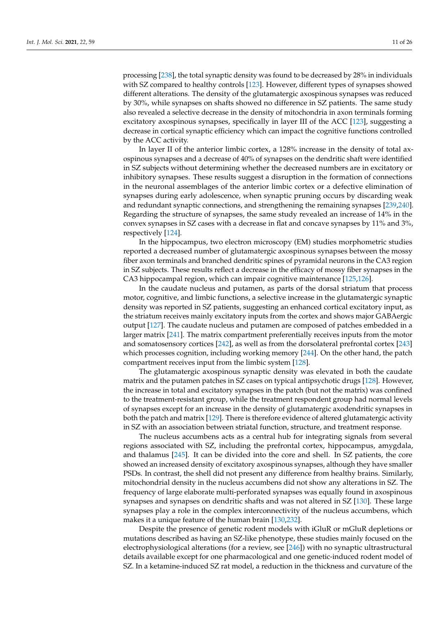processing [\[238\]](#page-24-13), the total synaptic density was found to be decreased by 28% in individuals with SZ compared to healthy controls [\[123\]](#page-20-9). However, different types of synapses showed different alterations. The density of the glutamatergic axospinous synapses was reduced by 30%, while synapses on shafts showed no difference in SZ patients. The same study also revealed a selective decrease in the density of mitochondria in axon terminals forming excitatory axospinous synapses, specifically in layer III of the ACC [\[123\]](#page-20-9), suggesting a decrease in cortical synaptic efficiency which can impact the cognitive functions controlled by the ACC activity.

In layer II of the anterior limbic cortex, a 128% increase in the density of total axospinous synapses and a decrease of 40% of synapses on the dendritic shaft were identified in SZ subjects without determining whether the decreased numbers are in excitatory or inhibitory synapses. These results suggest a disruption in the formation of connections in the neuronal assemblages of the anterior limbic cortex or a defective elimination of synapses during early adolescence, when synaptic pruning occurs by discarding weak and redundant synaptic connections, and strengthening the remaining synapses [\[239](#page-24-14)[,240\]](#page-24-15). Regarding the structure of synapses, the same study revealed an increase of 14% in the convex synapses in SZ cases with a decrease in flat and concave synapses by 11% and 3%, respectively [\[124\]](#page-20-10).

In the hippocampus, two electron microscopy (EM) studies morphometric studies reported a decreased number of glutamatergic axospinous synapses between the mossy fiber axon terminals and branched dendritic spines of pyramidal neurons in the CA3 region in SZ subjects. These results reflect a decrease in the efficacy of mossy fiber synapses in the CA3 hippocampal region, which can impair cognitive maintenance [\[125](#page-20-11)[,126\]](#page-20-12).

In the caudate nucleus and putamen, as parts of the dorsal striatum that process motor, cognitive, and limbic functions, a selective increase in the glutamatergic synaptic density was reported in SZ patients, suggesting an enhanced cortical excitatory input, as the striatum receives mainly excitatory inputs from the cortex and shows major GABAergic output [\[127\]](#page-20-13). The caudate nucleus and putamen are composed of patches embedded in a larger matrix [\[241\]](#page-24-16). The matrix compartment preferentially receives inputs from the motor and somatosensory cortices [\[242\]](#page-24-17), as well as from the dorsolateral prefrontal cortex [\[243\]](#page-24-18) which processes cognition, including working memory [\[244\]](#page-24-19). On the other hand, the patch compartment receives input from the limbic system [\[128\]](#page-20-25).

The glutamatergic axospinous synaptic density was elevated in both the caudate matrix and the putamen patches in SZ cases on typical antipsychotic drugs [\[128\]](#page-20-25). However, the increase in total and excitatory synapses in the patch (but not the matrix) was confined to the treatment-resistant group, while the treatment respondent group had normal levels of synapses except for an increase in the density of glutamatergic axodendritic synapses in both the patch and matrix [\[129\]](#page-20-14). There is therefore evidence of altered glutamatergic activity in SZ with an association between striatal function, structure, and treatment response.

The nucleus accumbens acts as a central hub for integrating signals from several regions associated with SZ, including the prefrontal cortex, hippocampus, amygdala, and thalamus [\[245\]](#page-24-20). It can be divided into the core and shell. In SZ patients, the core showed an increased density of excitatory axospinous synapses, although they have smaller PSDs. In contrast, the shell did not present any difference from healthy brains. Similarly, mitochondrial density in the nucleus accumbens did not show any alterations in SZ. The frequency of large elaborate multi-perforated synapses was equally found in axospinous synapses and synapses on dendritic shafts and was not altered in SZ [\[130\]](#page-20-15). These large synapses play a role in the complex interconnectivity of the nucleus accumbens, which makes it a unique feature of the human brain [\[130](#page-20-15)[,232\]](#page-24-7).

Despite the presence of genetic rodent models with iGluR or mGluR depletions or mutations described as having an SZ-like phenotype, these studies mainly focused on the electrophysiological alterations (for a review, see [\[246\]](#page-24-21)) with no synaptic ultrastructural details available except for one pharmacological and one genetic-induced rodent model of SZ. In a ketamine-induced SZ rat model, a reduction in the thickness and curvature of the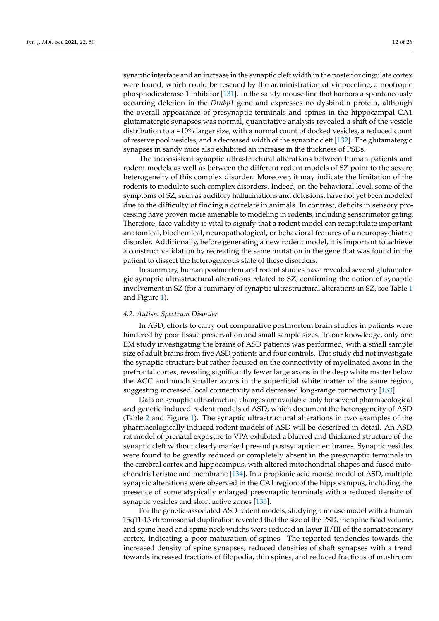synaptic interface and an increase in the synaptic cleft width in the posterior cingulate cortex were found, which could be rescued by the administration of vinpocetine, a nootropic phosphodiesterase-1 inhibitor [\[131\]](#page-20-16). In the sandy mouse line that harbors a spontaneously occurring deletion in the *Dtnbp1* gene and expresses no dysbindin protein, although the overall appearance of presynaptic terminals and spines in the hippocampal CA1 glutamatergic synapses was normal, quantitative analysis revealed a shift of the vesicle distribution to a ~10% larger size, with a normal count of docked vesicles, a reduced count of reserve pool vesicles, and a decreased width of the synaptic cleft [\[132\]](#page-20-17). The glutamatergic synapses in sandy mice also exhibited an increase in the thickness of PSDs.

The inconsistent synaptic ultrastructural alterations between human patients and rodent models as well as between the different rodent models of SZ point to the severe heterogeneity of this complex disorder. Moreover, it may indicate the limitation of the rodents to modulate such complex disorders. Indeed, on the behavioral level, some of the symptoms of SZ, such as auditory hallucinations and delusions, have not yet been modeled due to the difficulty of finding a correlate in animals. In contrast, deficits in sensory processing have proven more amenable to modeling in rodents, including sensorimotor gating. Therefore, face validity is vital to signify that a rodent model can recapitulate important anatomical, biochemical, neuropathological, or behavioral features of a neuropsychiatric disorder. Additionally, before generating a new rodent model, it is important to achieve a construct validation by recreating the same mutation in the gene that was found in the patient to dissect the heterogeneous state of these disorders.

In summary, human postmortem and rodent studies have revealed several glutamatergic synaptic ultrastructural alterations related to SZ, confirming the notion of synaptic involvement in SZ (for a summary of synaptic ultrastructural alterations in SZ, see Table [1](#page-5-0) and Figure [1\)](#page-4-0).

#### *4.2. Autism Spectrum Disorder*

In ASD, efforts to carry out comparative postmortem brain studies in patients were hindered by poor tissue preservation and small sample sizes. To our knowledge, only one EM study investigating the brains of ASD patients was performed, with a small sample size of adult brains from five ASD patients and four controls. This study did not investigate the synaptic structure but rather focused on the connectivity of myelinated axons in the prefrontal cortex, revealing significantly fewer large axons in the deep white matter below the ACC and much smaller axons in the superficial white matter of the same region, suggesting increased local connectivity and decreased long-range connectivity [\[133\]](#page-20-18).

Data on synaptic ultrastructure changes are available only for several pharmacological and genetic-induced rodent models of ASD, which document the heterogeneity of ASD (Table [2](#page-6-0) and Figure [1\)](#page-4-0). The synaptic ultrastructural alterations in two examples of the pharmacologically induced rodent models of ASD will be described in detail. An ASD rat model of prenatal exposure to VPA exhibited a blurred and thickened structure of the synaptic cleft without clearly marked pre-and postsynaptic membranes. Synaptic vesicles were found to be greatly reduced or completely absent in the presynaptic terminals in the cerebral cortex and hippocampus, with altered mitochondrial shapes and fused mitochondrial cristae and membrane [\[134\]](#page-20-19). In a propionic acid mouse model of ASD, multiple synaptic alterations were observed in the CA1 region of the hippocampus, including the presence of some atypically enlarged presynaptic terminals with a reduced density of synaptic vesicles and short active zones [\[135\]](#page-20-20).

For the genetic-associated ASD rodent models, studying a mouse model with a human 15q11-13 chromosomal duplication revealed that the size of the PSD, the spine head volume, and spine head and spine neck widths were reduced in layer II/III of the somatosensory cortex, indicating a poor maturation of spines. The reported tendencies towards the increased density of spine synapses, reduced densities of shaft synapses with a trend towards increased fractions of filopodia, thin spines, and reduced fractions of mushroom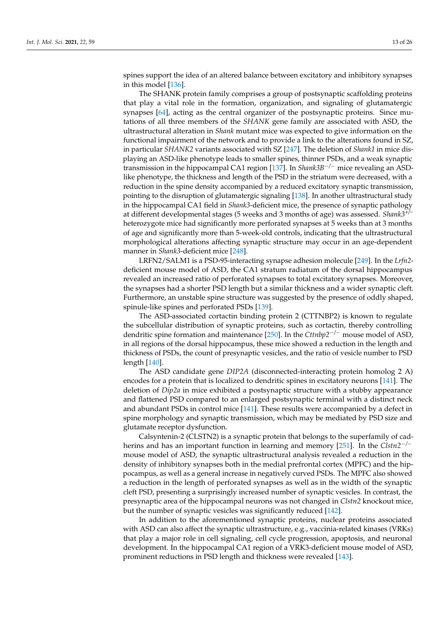spines support the idea of an altered balance between excitatory and inhibitory synapses in this model [\[136\]](#page-20-21).

The SHANK protein family comprises a group of postsynaptic scaffolding proteins that play a vital role in the formation, organization, and signaling of glutamatergic synapses [\[64\]](#page-17-15), acting as the central organizer of the postsynaptic proteins. Since mutations of all three members of the *SHANK* gene family are associated with ASD, the ultrastructural alteration in *Shank* mutant mice was expected to give information on the functional impairment of the network and to provide a link to the alterations found in SZ, in particular *SHANK2* variants associated with SZ [\[247\]](#page-24-22). The deletion of *Shank1* in mice displaying an ASD-like phenotype leads to smaller spines, thinner PSDs, and a weak synaptic transmission in the hippocampal CA1 region [\[137\]](#page-20-22). In *Shank3B*−*/*<sup>−</sup> mice revealing an ASDlike phenotype, the thickness and length of the PSD in the striatum were decreased, with a reduction in the spine density accompanied by a reduced excitatory synaptic transmission, pointing to the disruption of glutamatergic signaling [\[138\]](#page-20-23). In another ultrastructural study in the hippocampal CA1 field in *Shank3*-deficient mice, the presence of synaptic pathology at different developmental stages (5 weeks and 3 months of age) was assessed. *Shank3+/–* heterozygote mice had significantly more perforated synapses at 5 weeks than at 3 months of age and significantly more than 5-week-old controls, indicating that the ultrastructural morphological alterations affecting synaptic structure may occur in an age-dependent manner in *Shank3*-deficient mice [\[248\]](#page-24-23).

LRFN2/SALM1 is a PSD-95-interacting synapse adhesion molecule [\[249\]](#page-24-24). In the *Lrfn2* deficient mouse model of ASD, the CA1 stratum radiatum of the dorsal hippocampus revealed an increased ratio of perforated synapses to total excitatory synapses. Moreover, the synapses had a shorter PSD length but a similar thickness and a wider synaptic cleft. Furthermore, an unstable spine structure was suggested by the presence of oddly shaped, spinule-like spines and perforated PSDs [\[139\]](#page-20-24).

The ASD-associated cortactin binding protein 2 (CTTNBP2) is known to regulate the subcellular distribution of synaptic proteins, such as cortactin, thereby controlling dendritic spine formation and maintenance [\[250\]](#page-24-25). In the *Cttnbp2*−*/*<sup>−</sup> mouse model of ASD, in all regions of the dorsal hippocampus, these mice showed a reduction in the length and thickness of PSDs, the count of presynaptic vesicles, and the ratio of vesicle number to PSD length [\[140\]](#page-21-0).

The ASD candidate gene *DIP2A* (disconnected-interacting protein homolog 2 A) encodes for a protein that is localized to dendritic spines in excitatory neurons [\[141\]](#page-21-1). The deletion of *Dip2a* in mice exhibited a postsynaptic structure with a stubby appearance and flattened PSD compared to an enlarged postsynaptic terminal with a distinct neck and abundant PSDs in control mice [\[141\]](#page-21-1). These results were accompanied by a defect in spine morphology and synaptic transmission, which may be mediated by PSD size and glutamate receptor dysfunction.

Calsyntenin-2 (CLSTN2) is a synaptic protein that belongs to the superfamily of cadherins and has an important function in learning and memory [\[251\]](#page-25-0). In the *Clstn2*−*/*<sup>−</sup> mouse model of ASD, the synaptic ultrastructural analysis revealed a reduction in the density of inhibitory synapses both in the medial prefrontal cortex (MPFC) and the hippocampus, as well as a general increase in negatively curved PSDs. The MPFC also showed a reduction in the length of perforated synapses as well as in the width of the synaptic cleft PSD, presenting a surprisingly increased number of synaptic vesicles. In contrast, the presynaptic area of the hippocampal neurons was not changed in *Clstn2* knockout mice, but the number of synaptic vesicles was significantly reduced [\[142\]](#page-21-2).

In addition to the aforementioned synaptic proteins, nuclear proteins associated with ASD can also affect the synaptic ultrastructure, e.g., vaccinia-related kinases (VRKs) that play a major role in cell signaling, cell cycle progression, apoptosis, and neuronal development. In the hippocampal CA1 region of a VRK3-deficient mouse model of ASD, prominent reductions in PSD length and thickness were revealed [\[143\]](#page-21-3).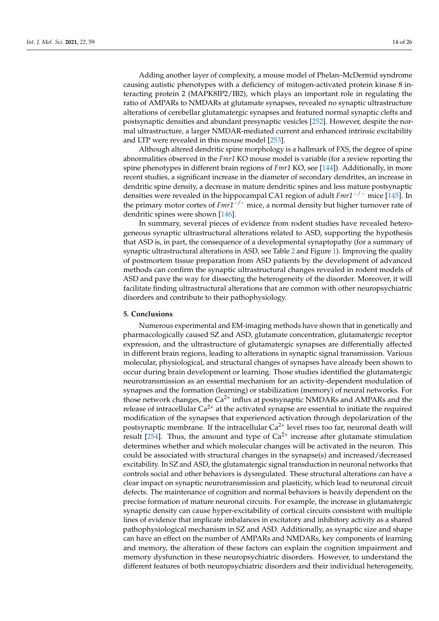Adding another layer of complexity, a mouse model of Phelan–McDermid syndrome causing autistic phenotypes with a deficiency of mitogen-activated protein kinase 8 interacting protein 2 (MAPK8IP2/IB2), which plays an important role in regulating the ratio of AMPARs to NMDARs at glutamate synapses, revealed no synaptic ultrastructure alterations of cerebellar glutamatergic synapses and featured normal synaptic clefts and postsynaptic densities and abundant presynaptic vesicles [\[252\]](#page-25-1). However, despite the normal ultrastructure, a larger NMDAR-mediated current and enhanced intrinsic excitability and LTP were revealed in this mouse model [\[253\]](#page-25-2).

Although altered dendritic spine morphology is a hallmark of FXS, the degree of spine abnormalities observed in the *Fmr1* KO mouse model is variable (for a review reporting the spine phenotypes in different brain regions of *Fmr1* KO, see [\[144\]](#page-21-4)). Additionally, in more recent studies, a significant increase in the diameter of secondary dendrites, an increase in dendritic spine density, a decrease in mature dendritic spines and less mature postsynaptic densities were revealed in the hippocampal CA1 region of adult *Fmr1*−/<sup>−</sup> mice [\[145\]](#page-21-5). In the primary motor cortex of *Fmr1*−*/*<sup>−</sup> mice, a normal density but higher turnover rate of dendritic spines were shown [\[146\]](#page-21-6).

In summary, several pieces of evidence from rodent studies have revealed heterogeneous synaptic ultrastructural alterations related to ASD, supporting the hypothesis that ASD is, in part, the consequence of a developmental synaptopathy (for a summary of synaptic ultrastructural alterations in ASD, see Table [2](#page-6-0) and Figure [1\)](#page-4-0). Improving the quality of postmortem tissue preparation from ASD patients by the development of advanced methods can confirm the synaptic ultrastructural changes revealed in rodent models of ASD and pave the way for dissecting the heterogeneity of the disorder. Moreover, it will facilitate finding ultrastructural alterations that are common with other neuropsychiatric disorders and contribute to their pathophysiology.

#### **5. Conclusions**

Numerous experimental and EM-imaging methods have shown that in genetically and pharmacologically caused SZ and ASD, glutamate concentration, glutamatergic receptor expression, and the ultrastructure of glutamatergic synapses are differentially affected in different brain regions, leading to alterations in synaptic signal transmission. Various molecular, physiological, and structural changes of synapses have already been shown to occur during brain development or learning. Those studies identified the glutamatergic neurotransmission as an essential mechanism for an activity-dependent modulation of synapses and the formation (learning) or stabilization (memory) of neural networks. For those network changes, the  $Ca^{2+}$  influx at postsynaptic NMDARs and AMPARs and the release of intracellular  $Ca^{2+}$  at the activated synapse are essential to initiate the required modification of the synapses that experienced activation through depolarization of the postsynaptic membrane. If the intracellular  $Ca^{2+}$  level rises too far, neuronal death will result [\[254\]](#page-25-3). Thus, the amount and type of  $Ca^{2+}$  increase after glutamate stimulation determines whether and which molecular changes will be activated in the neuron. This could be associated with structural changes in the synapse(s) and increased/decreased excitability. In SZ and ASD, the glutamatergic signal transduction in neuronal networks that controls social and other behaviors is dysregulated. These structural alterations can have a clear impact on synaptic neurotransmission and plasticity, which lead to neuronal circuit defects. The maintenance of cognition and normal behaviors is heavily dependent on the precise formation of mature neuronal circuits. For example, the increase in glutamatergic synaptic density can cause hyper-excitability of cortical circuits consistent with multiple lines of evidence that implicate imbalances in excitatory and inhibitory activity as a shared pathophysiological mechanism in SZ and ASD. Additionally, as synaptic size and shape can have an effect on the number of AMPARs and NMDARs, key components of learning and memory, the alteration of these factors can explain the cognition impairment and memory dysfunction in these neuropsychiatric disorders. However, to understand the different features of both neuropsychiatric disorders and their individual heterogeneity,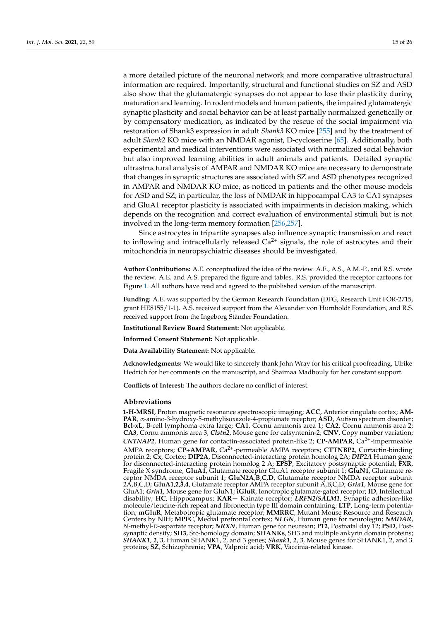a more detailed picture of the neuronal network and more comparative ultrastructural information are required. Importantly, structural and functional studies on SZ and ASD also show that the glutamatergic synapses do not appear to lose their plasticity during maturation and learning. In rodent models and human patients, the impaired glutamatergic synaptic plasticity and social behavior can be at least partially normalized genetically or by compensatory medication, as indicated by the rescue of the social impairment via restoration of Shank3 expression in adult *Shank3* KO mice [\[255\]](#page-25-4) and by the treatment of adult *Shank2* KO mice with an NMDAR agonist, D-cycloserine [\[65\]](#page-17-16). Additionally, both experimental and medical interventions were associated with normalized social behavior but also improved learning abilities in adult animals and patients. Detailed synaptic ultrastructural analysis of AMPAR and NMDAR KO mice are necessary to demonstrate that changes in synaptic structures are associated with SZ and ASD phenotypes recognized in AMPAR and NMDAR KO mice, as noticed in patients and the other mouse models for ASD and SZ; in particular, the loss of NMDAR in hippocampal CA3 to CA1 synapses and GluA1 receptor plasticity is associated with impairments in decision making, which depends on the recognition and correct evaluation of environmental stimuli but is not involved in the long-term memory formation [\[256,](#page-25-5)[257\]](#page-25-6).

Since astrocytes in tripartite synapses also influence synaptic transmission and react to inflowing and intracellularly released  $Ca<sup>2+</sup>$  signals, the role of astrocytes and their mitochondria in neuropsychiatric diseases should be investigated.

**Author Contributions:** A.E. conceptualized the idea of the review. A.E., A.S., A.M.-P., and R.S. wrote the review. A.E. and A.S. prepared the figure and tables. R.S. provided the receptor cartoons for Figure [1.](#page-4-0) All authors have read and agreed to the published version of the manuscript.

**Funding:** A.E. was supported by the German Research Foundation (DFG, Research Unit FOR-2715, grant HE8155/1-1). A.S. received support from the Alexander von Humboldt Foundation, and R.S. received support from the Ingeborg Ständer Foundation.

**Institutional Review Board Statement:** Not applicable.

**Informed Consent Statement:** Not applicable.

**Data Availability Statement:** Not applicable.

**Acknowledgments:** We would like to sincerely thank John Wray for his critical proofreading, Ulrike Hedrich for her comments on the manuscript, and Shaimaa Madbouly for her constant support.

**Conflicts of Interest:** The authors declare no conflict of interest.

#### **Abbreviations**

**1-H-MRSI**, Proton magnetic resonance spectroscopic imaging; **ACC**, Anterior cingulate cortex; **AM-PAR**, α-amino-3-hydroxy-5-methylisoxazole-4-propionate receptor; **ASD**, Autism spectrum disorder; **Bcl-xL**, B-cell lymphoma extra large; **CA1**, Cornu ammonis area 1; **CA2**, Cornu ammonis area 2; **CA3**, Cornu ammonis area 3; *Clstn2*, Mouse gene for calsyntenin-2; **CNV**, Copy number variation; *CNTNAP2*, Human gene for contactin-associated protein-like 2; **CP-AMPAR**, Ca2+-impermeable AMPA receptors; **CP+AMPAR**, Ca2+-permeable AMPA receptors; **CTTNBP2**, Cortactin-binding protein 2; **Cx**, Cortex; **DIP2A**, Disconnected-interacting protein homolog 2A; *DIP2A* Human gene for disconnected-interacting protein homolog 2 A; **EPSP**, Excitatory postsynaptic potential; **FXR**, Fragile X syndrome; **GluA1**, Glutamate receptor GluA1 receptor subunit 1; **GluN1**, Glutamate receptor NMDA receptor subunit 1; **GluN2A**,**B**,**C**,**D**, Glutamate receptor NMDA receptor subunit 2A,B,C,D; **GluA1**,**2**,**3**,**4**, Glutamate receptor AMPA receptor subunit A,B,C,D; *Gria1*, Mouse gene for GluA1; *Grin1*, Mouse gene for GluN1; **iGluR**, Ionotropic glutamate-gated receptor; **ID**, Intellectual disability; **HC**, Hippocampus; **KAR**− Kainate receptor; *LRFN2/SALM1*, Synaptic adhesion-like molecule/leucine-rich repeat and fibronectin type III domain containing; **LTP**, Long-term potentiation; **mGluR**, Metabotropic glutamate receptor; **MMRRC**, Mutant Mouse Resource and Research Centers by NIH; **MPFC**, Medial prefrontal cortex; *NLGN*, Human gene for neurolegin; *NMDAR*, *N*-methyl-D-aspartate receptor; *NRXN*, Human gene for neurexin; **P12**, Postnatal day 12; **PSD**, Postsynaptic density; **SH3**, Src-homology domain; **SHANKs**, SH3 and multiple ankyrin domain proteins; *SHANK1*, *2*, *3*, Human SHANK1, 2, and 3 genes; *Shank1*, *2*, *3*, Mouse genes for SHANK1, 2, and 3 proteins; **SZ**, Schizophrenia; **VPA**, Valproic acid; **VRK**, Vaccinia-related kinase.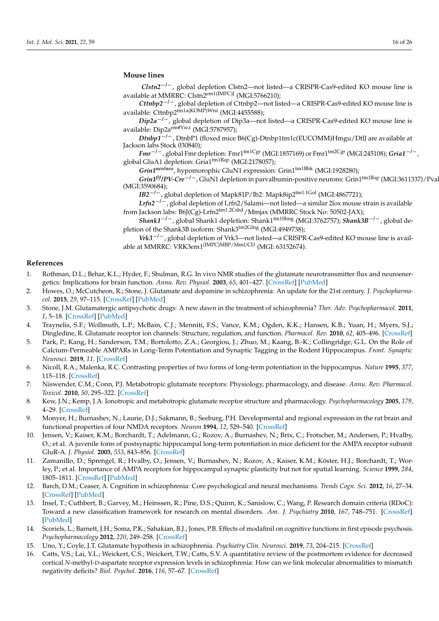# **Mouse lines**

*Clstn2*−*/*−, global depletion Clstn2—not listed—a CRISPR-Cas9-edited KO mouse line is available at MMRRC: Clstn2em1(IMPC)J (MGI:5766210);

*Cttnbp2*−*/*−, global depletion of Cttnbp2—not listed—a CRISPR-Cas9-edited KO mouse line is available: Cttnbp2<sup>tm1a(KOMP)Wtsi</sup> (MGI:4455588);

*Dip2a<sup>-/-</sup>*, global depletion of Dip3a—not listed—a CRISPR-Cas9-edited KO mouse line is available: Dip2aem#Ywz (MGI:5787957);

*Dtnbp1<sup>-/-</sup>*, DtnbP1 (floxed mice B6(Cg)-Dtnbp1tm1c(EUCOMM)Hmgu/DtlJ are available at Jackson labs Stock 030840);

*Fmr<sup>−/−</sup>*, global Fmr depletion: Fmr1<sup>tm1Cgr</sup> (MGI:1857169) or Fmr1<sup>tm2Cgr</sup> (MGI:245108); *Gria1<sup>-/−</sup>*, global GluA1 depletion: Gria1<sup>tm1Rsp</sup> (MGI:2178057);

*Grin1neo/neo*, hypomorophic GluN1 expression: Grin1tm1Bhk (MGI:1928280);

*Grin1<sup>f|f</sup>*/PV-Cre<sup>−/−</sup>, GluN1 depletion in parvalbumin-positive neurons: Grin1<sup>tm1Rsp</sup> (MGI:3611337)/Pva (MGI:3590684);

*IB2<sup>-/-</sup>*, global depletion of Mapk81P/Ib2: Mapk8ip2<sup>tm1.1Gol</sup> (MGI:4867721);

*Lrfn2*−*/*−, global depletion of Lrfn2/Salami—not listed—a similar 2lox mouse strain is available from Jackson labs: B6J(Cg)-Lrfn2tm1.2Csbd / Mmjax (MMRRC Stock No: 50502-JAX);

*Shank1*−*/*−, global Shank1 depletion: Shank1tm1Shng (MGI:3762757); *Shank3B*−*/*−, global depletion of the Shank3B isoform: Shank3<sup>tm2Gfng</sup> (MGI:4949738);

*Vrk3<sup>-/-</sup>*, global depletion of Vrk3—not listed—a CRISPR-Cas9-edited KO mouse line is available at MMRRC: VRK3em1(IMPC)MBP/MmUCD (MGI: 63152674).

## **References**

- <span id="page-15-0"></span>1. Rothman, D.L.; Behar, K.L.; Hyder, F.; Shulman, R.G. In vivo NMR studies of the glutamate neurotransmitter flux and neuroenergetics: Implications for brain function. *Annu. Rev. Physiol.* **2003**, *65*, 401–427. [\[CrossRef\]](http://dx.doi.org/10.1146/annurev.physiol.65.092101.142131) [\[PubMed\]](http://www.ncbi.nlm.nih.gov/pubmed/12524459)
- <span id="page-15-6"></span>2. Howes, O.; McCutcheon, R.; Stone, J. Glutamate and dopamine in schizophrenia: An update for the 21st century. *J. Psychopharmacol.* **2015**, *29*, 97–115. [\[CrossRef\]](http://dx.doi.org/10.1177/0269881114563634) [\[PubMed\]](http://www.ncbi.nlm.nih.gov/pubmed/25586400)
- <span id="page-15-1"></span>3. Stone, J.M. Glutamatergic antipsychotic drugs: A new dawn in the treatment of schizophrenia? *Ther. Adv. Psychopharmacol.* **2011**, *1*, 5–18. [\[CrossRef\]](http://dx.doi.org/10.1177/2045125311400779) [\[PubMed\]](http://www.ncbi.nlm.nih.gov/pubmed/23983922)
- <span id="page-15-2"></span>4. Traynelis, S.F.; Wollmuth, L.P.; McBain, C.J.; Menniti, F.S.; Vance, K.M.; Ogden, K.K.; Hansen, K.B.; Yuan, H.; Myers, S.J.; Dingledine, R. Glutamate receptor ion channels: Structure, regulation, and function. *Pharmacol. Rev.* **2010**, *62*, 405–496. [\[CrossRef\]](http://dx.doi.org/10.1124/pr.109.002451)
- <span id="page-15-3"></span>5. Park, P.; Kang, H.; Sanderson, T.M.; Bortolotto, Z.A.; Georgiou, J.; Zhuo, M.; Kaang, B.-K.; Collingridge, G.L. On the Role of Calcium-Permeable AMPARs in Long-Term Potentiation and Synaptic Tagging in the Rodent Hippocampus. *Front. Synaptic Neurosci.* **2019**, *11*. [\[CrossRef\]](http://dx.doi.org/10.3389/fnsyn.2019.00004)
- <span id="page-15-4"></span>6. Nicoll, R.A.; Malenka, R.C. Contrasting properties of two forms of long-term potentiation in the hippocampus. *Nature* **1995**, *377*, 115–118. [\[CrossRef\]](http://dx.doi.org/10.1038/377115a0)
- <span id="page-15-5"></span>7. Niswender, C.M.; Conn, P.J. Metabotropic glutamate receptors: Physiology, pharmacology, and disease. *Annu. Rev. Pharmacol. Toxicol.* **2010**, *50*, 295–322. [\[CrossRef\]](http://dx.doi.org/10.1146/annurev.pharmtox.011008.145533)
- <span id="page-15-7"></span>8. Kew, J.N.; Kemp, J.A. Ionotropic and metabotropic glutamate receptor structure and pharmacology. *Psychopharmacology* **2005**, *179*, 4–29. [\[CrossRef\]](http://dx.doi.org/10.1007/s00213-005-2200-z)
- <span id="page-15-8"></span>9. Monyer, H.; Burnashev, N.; Laurie, D.J.; Sakmann, B.; Seeburg, P.H. Developmental and regional expression in the rat brain and functional properties of four NMDA receptors. *Neuron* **1994**, *12*, 529–540. [\[CrossRef\]](http://dx.doi.org/10.1016/0896-6273(94)90210-0)
- <span id="page-15-9"></span>10. Jensen, V.; Kaiser, K.M.; Borchardt, T.; Adelmann, G.; Rozov, A.; Burnashev, N.; Brix, C.; Frotscher, M.; Andersen, P.; Hvalby, O.; et al. A juvenile form of postsynaptic hippocampal long-term potentiation in mice deficient for the AMPA receptor subunit GluR-A. *J. Physiol.* **2003**, *553*, 843–856. [\[CrossRef\]](http://dx.doi.org/10.1113/jphysiol.2003.053637)
- <span id="page-15-10"></span>11. Zamanillo, D.; Sprengel, R.; Hvalby, O.; Jensen, V.; Burnashev, N.; Rozov, A.; Kaiser, K.M.; Köster, H.J.; Borchardt, T.; Worley, P.; et al. Importance of AMPA receptors for hippocampal synaptic plasticity but not for spatial learning. *Science* **1999**, *284*, 1805–1811. [\[CrossRef\]](http://dx.doi.org/10.1126/science.284.5421.1805) [\[PubMed\]](http://www.ncbi.nlm.nih.gov/pubmed/10364547)
- <span id="page-15-11"></span>12. Barch, D.M.; Ceaser, A. Cognition in schizophrenia: Core psychological and neural mechanisms. *Trends Cogn. Sci.* **2012**, *16*, 27–34. [\[CrossRef\]](http://dx.doi.org/10.1016/j.tics.2011.11.015) [\[PubMed\]](http://www.ncbi.nlm.nih.gov/pubmed/22169777)
- 13. Insel, T.; Cuthbert, B.; Garvey, M.; Heinssen, R.; Pine, D.S.; Quinn, K.; Sanislow, C.; Wang, P. Research domain criteria (RDoC): Toward a new classification framework for research on mental disorders. *Am. J. Psychiatry* **2010**, *167*, 748–751. [\[CrossRef\]](http://dx.doi.org/10.1176/appi.ajp.2010.09091379) [\[PubMed\]](http://www.ncbi.nlm.nih.gov/pubmed/20595427)
- <span id="page-15-12"></span>14. Scoriels, L.; Barnett, J.H.; Soma, P.K.; Sahakian, B.J.; Jones, P.B. Effects of modafinil on cognitive functions in first episode psychosis. *Psychopharmacology* **2012**, *220*, 249–258. [\[CrossRef\]](http://dx.doi.org/10.1007/s00213-011-2472-4)
- <span id="page-15-13"></span>15. Uno, Y.; Coyle, J.T. Glutamate hypothesis in schizophrenia. *Psychiatry Clin. Neurosci.* **2019**, *73*, 204–215. [\[CrossRef\]](http://dx.doi.org/10.1111/pcn.12823)
- 16. Catts, V.S.; Lai, Y.L.; Weickert, C.S.; Weickert, T.W.; Catts, S.V. A quantitative review of the postmortem evidence for decreased cortical *N*-methyl-D-aspartate receptor expression levels in schizophrenia: How can we link molecular abnormalities to mismatch negativity deficits? *Biol. Psychol.* **2016**, *116*, 57–67. [\[CrossRef\]](http://dx.doi.org/10.1016/j.biopsycho.2015.10.013)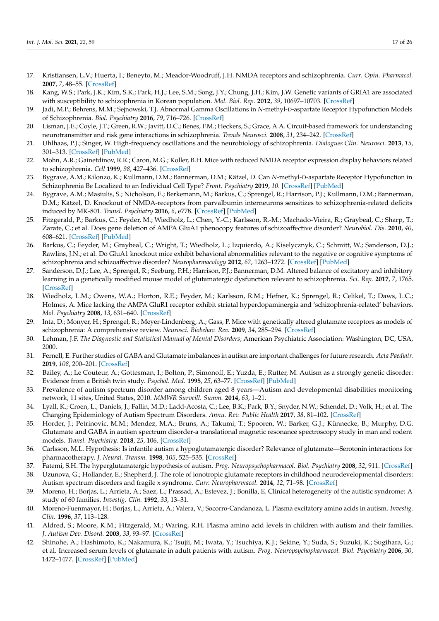- <span id="page-16-0"></span>17. Kristiansen, L.V.; Huerta, I.; Beneyto, M.; Meador-Woodruff, J.H. NMDA receptors and schizophrenia. *Curr. Opin. Pharmacol.* **2007**, *7*, 48–55. [\[CrossRef\]](http://dx.doi.org/10.1016/j.coph.2006.08.013)
- <span id="page-16-1"></span>18. Kang, W.S.; Park, J.K.; Kim, S.K.; Park, H.J.; Lee, S.M.; Song, J.Y.; Chung, J.H.; Kim, J.W. Genetic variants of GRIA1 are associated with susceptibility to schizophrenia in Korean population. *Mol. Biol. Rep.* **2012**, *39*, 10697–10703. [\[CrossRef\]](http://dx.doi.org/10.1007/s11033-012-1960-x)
- <span id="page-16-2"></span>19. Jadi, M.P.; Behrens, M.M.; Sejnowski, T.J. Abnormal Gamma Oscillations in *N*-methyl-D-aspartate Receptor Hypofunction Models of Schizophrenia. *Biol. Psychiatry* **2016**, *79*, 716–726. [\[CrossRef\]](http://dx.doi.org/10.1016/j.biopsych.2015.07.005)
- 20. Lisman, J.E.; Coyle, J.T.; Green, R.W.; Javitt, D.C.; Benes, F.M.; Heckers, S.; Grace, A.A. Circuit-based framework for understanding neurotransmitter and risk gene interactions in schizophrenia. *Trends Neurosci.* **2008**, *31*, 234–242. [\[CrossRef\]](http://dx.doi.org/10.1016/j.tins.2008.02.005)
- <span id="page-16-3"></span>21. Uhlhaas, P.J.; Singer, W. High-frequency oscillations and the neurobiology of schizophrenia. *Dialogues Clin. Neurosci.* **2013**, *15*, 301–313. [\[CrossRef\]](http://dx.doi.org/10.31887/DCNS.2013.15.3/puhlhaas) [\[PubMed\]](http://www.ncbi.nlm.nih.gov/pubmed/24174902)
- <span id="page-16-4"></span>22. Mohn, A.R.; Gainetdinov, R.R.; Caron, M.G.; Koller, B.H. Mice with reduced NMDA receptor expression display behaviors related to schizophrenia. *Cell* **1999**, *98*, 427–436. [\[CrossRef\]](http://dx.doi.org/10.1016/S0092-8674(00)81972-8)
- <span id="page-16-5"></span>23. Bygrave, A.M.; Kilonzo, K.; Kullmann, D.M.; Bannerman, D.M.; Kätzel, D. Can *N*-methyl-D-aspartate Receptor Hypofunction in Schizophrenia Be Localized to an Individual Cell Type? *Front. Psychiatry* **2019**, *10*. [\[CrossRef\]](http://dx.doi.org/10.3389/fpsyt.2019.00835) [\[PubMed\]](http://www.ncbi.nlm.nih.gov/pubmed/31824347)
- <span id="page-16-6"></span>24. Bygrave, A.M.; Masiulis, S.; Nicholson, E.; Berkemann, M.; Barkus, C.; Sprengel, R.; Harrison, P.J.; Kullmann, D.M.; Bannerman, D.M.; Kätzel, D. Knockout of NMDA-receptors from parvalbumin interneurons sensitizes to schizophrenia-related deficits induced by MK-801. *Transl. Psychiatry* **2016**, *6*, e778. [\[CrossRef\]](http://dx.doi.org/10.1038/tp.2016.44) [\[PubMed\]](http://www.ncbi.nlm.nih.gov/pubmed/27070406)
- <span id="page-16-7"></span>25. Fitzgerald, P.; Barkus, C.; Feyder, M.; Wiedholz, L.; Chen, Y.-C.; Karlsson, R.-M.; Machado-Vieira, R.; Graybeal, C.; Sharp, T.; Zarate, C.; et al. Does gene deletion of AMPA GluA1 phenocopy features of schizoaffective disorder? *Neurobiol. Dis.* **2010**, *40*, 608–621. [\[CrossRef\]](http://dx.doi.org/10.1016/j.nbd.2010.08.005) [\[PubMed\]](http://www.ncbi.nlm.nih.gov/pubmed/20699120)
- 26. Barkus, C.; Feyder, M.; Graybeal, C.; Wright, T.; Wiedholz, L.; Izquierdo, A.; Kiselycznyk, C.; Schmitt, W.; Sanderson, D.J.; Rawlins, J.N.; et al. Do GluA1 knockout mice exhibit behavioral abnormalities relevant to the negative or cognitive symptoms of schizophrenia and schizoaffective disorder? *Neuropharmacology* **2012**, *62*, 1263–1272. [\[CrossRef\]](http://dx.doi.org/10.1016/j.neuropharm.2011.06.005) [\[PubMed\]](http://www.ncbi.nlm.nih.gov/pubmed/21693126)
- <span id="page-16-8"></span>27. Sanderson, D.J.; Lee, A.; Sprengel, R.; Seeburg, P.H.; Harrison, P.J.; Bannerman, D.M. Altered balance of excitatory and inhibitory learning in a genetically modified mouse model of glutamatergic dysfunction relevant to schizophrenia. *Sci. Rep.* **2017**, *7*, 1765. [\[CrossRef\]](http://dx.doi.org/10.1038/s41598-017-01925-8)
- <span id="page-16-9"></span>28. Wiedholz, L.M.; Owens, W.A.; Horton, R.E.; Feyder, M.; Karlsson, R.M.; Hefner, K.; Sprengel, R.; Celikel, T.; Daws, L.C.; Holmes, A. Mice lacking the AMPA GluR1 receptor exhibit striatal hyperdopaminergia and 'schizophrenia-related' behaviors. *Mol. Psychiatry* **2008**, *13*, 631–640. [\[CrossRef\]](http://dx.doi.org/10.1038/sj.mp.4002056)
- <span id="page-16-10"></span>29. Inta, D.; Monyer, H.; Sprengel, R.; Meyer-Lindenberg, A.; Gass, P. Mice with genetically altered glutamate receptors as models of schizophrenia: A comprehensive review. *Neurosci. Biobehav. Rev.* **2009**, *34*, 285–294. [\[CrossRef\]](http://dx.doi.org/10.1016/j.neubiorev.2009.07.010)
- <span id="page-16-11"></span>30. Lehman, J.F. *The Diagnostic and Statistical Manual of Mental Disorders*; American Psychiatric Association: Washington, DC, USA, 2000.
- <span id="page-16-12"></span>31. Fernell, E. Further studies of GABA and Glutamate imbalances in autism are important challenges for future research. *Acta Paediatr.* **2019**, *108*, 200–201. [\[CrossRef\]](http://dx.doi.org/10.1111/apa.14589)
- <span id="page-16-13"></span>32. Bailey, A.; Le Couteur, A.; Gottesman, I.; Bolton, P.; Simonoff, E.; Yuzda, E.; Rutter, M. Autism as a strongly genetic disorder: Evidence from a British twin study. *Psychol. Med.* **1995**, *25*, 63–77. [\[CrossRef\]](http://dx.doi.org/10.1017/S0033291700028099) [\[PubMed\]](http://www.ncbi.nlm.nih.gov/pubmed/7792363)
- 33. Prevalence of autism spectrum disorder among children aged 8 years—Autism and developmental disabilities monitoring network, 11 sites, United States, 2010. *MMWR Surveill. Summ.* **2014**, *63*, 1–21.
- <span id="page-16-14"></span>34. Lyall, K.; Croen, L.; Daniels, J.; Fallin, M.D.; Ladd-Acosta, C.; Lee, B.K.; Park, B.Y.; Snyder, N.W.; Schendel, D.; Volk, H.; et al. The Changing Epidemiology of Autism Spectrum Disorders. *Annu. Rev. Public Health* **2017**, *38*, 81–102. [\[CrossRef\]](http://dx.doi.org/10.1146/annurev-publhealth-031816-044318)
- <span id="page-16-15"></span>35. Horder, J.; Petrinovic, M.M.; Mendez, M.A.; Bruns, A.; Takumi, T.; Spooren, W.; Barker, G.J.; Künnecke, B.; Murphy, D.G. Glutamate and GABA in autism spectrum disorder-a translational magnetic resonance spectroscopy study in man and rodent models. *Transl. Psychiatry.* **2018**, *25*, 106. [\[CrossRef\]](http://dx.doi.org/10.1038/s41398-018-0155-1)
- <span id="page-16-16"></span>36. Carlsson, M.L. Hypothesis: Is infantile autism a hypoglutamatergic disorder? Relevance of glutamate—Serotonin interactions for pharmacotherapy. *J. Neural. Transm.* **1998**, *105*, 525–535. [\[CrossRef\]](http://dx.doi.org/10.1007/s007020050076)
- 37. Fatemi, S.H. The hyperglutamatergic hypothesis of autism. *Prog. Neuropsychopharmacol. Biol. Psychiatry* **2008**, *32*, 911. [\[CrossRef\]](http://dx.doi.org/10.1016/j.pnpbp.2007.11.004)
- <span id="page-16-17"></span>38. Uzunova, G.; Hollander, E.; Shepherd, J. The role of ionotropic glutamate receptors in childhood neurodevelopmental disorders: Autism spectrum disorders and fragile x syndrome. *Curr. Neuropharmacol.* **2014**, *12*, 71–98. [\[CrossRef\]](http://dx.doi.org/10.2174/1570159X113116660046)
- <span id="page-16-18"></span>39. Moreno, H.; Borjas, L.; Arrieta, A.; Saez, L.; Prassad, A.; Estevez, J.; Bonilla, E. Clinical heterogeneity of the autistic syndrome: A study of 60 families. *Investig. Clin.* **1992**, *33*, 13–31.
- 40. Moreno-Fuenmayor, H.; Borjas, L.; Arrieta, A.; Valera, V.; Socorro-Candanoza, L. Plasma excitatory amino acids in autism. *Investig. Clin.* **1996**, *37*, 113–128.
- 41. Aldred, S.; Moore, K.M.; Fitzgerald, M.; Waring, R.H. Plasma amino acid levels in children with autism and their families. *J. Autism Dev. Disord.* **2003**, *33*, 93–97. [\[CrossRef\]](http://dx.doi.org/10.1023/A:1022238706604)
- 42. Shinohe, A.; Hashimoto, K.; Nakamura, K.; Tsujii, M.; Iwata, Y.; Tsuchiya, K.J.; Sekine, Y.; Suda, S.; Suzuki, K.; Sugihara, G.; et al. Increased serum levels of glutamate in adult patients with autism. *Prog. Neuropsychopharmacol. Biol. Psychiatry* **2006**, *30*, 1472–1477. [\[CrossRef\]](http://dx.doi.org/10.1016/j.pnpbp.2006.06.013) [\[PubMed\]](http://www.ncbi.nlm.nih.gov/pubmed/16863675)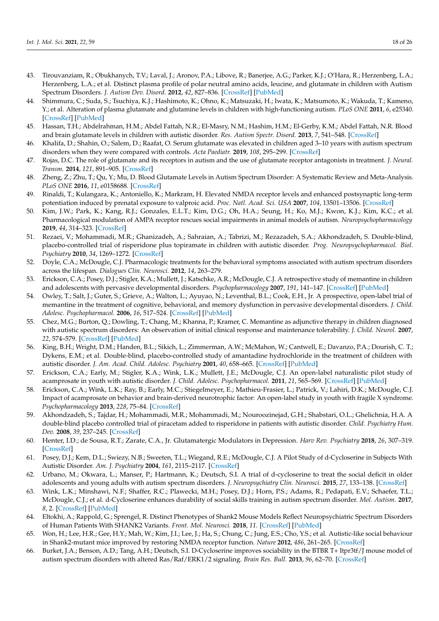- 43. Tirouvanziam, R.; Obukhanych, T.V.; Laval, J.; Aronov, P.A.; Libove, R.; Banerjee, A.G.; Parker, K.J.; O'Hara, R.; Herzenberg, L.A.; Herzenberg, L.A.; et al. Distinct plasma profile of polar neutral amino acids, leucine, and glutamate in children with Autism Spectrum Disorders. *J. Autism Dev. Disord.* **2012**, *42*, 827–836. [\[CrossRef\]](http://dx.doi.org/10.1007/s10803-011-1314-x) [\[PubMed\]](http://www.ncbi.nlm.nih.gov/pubmed/21713591)
- 44. Shimmura, C.; Suda, S.; Tsuchiya, K.J.; Hashimoto, K.; Ohno, K.; Matsuzaki, H.; Iwata, K.; Matsumoto, K.; Wakuda, T.; Kameno, Y.; et al. Alteration of plasma glutamate and glutamine levels in children with high-functioning autism. *PLoS ONE* **2011**, *6*, e25340. [\[CrossRef\]](http://dx.doi.org/10.1371/journal.pone.0025340) [\[PubMed\]](http://www.ncbi.nlm.nih.gov/pubmed/21998651)
- 45. Hassan, T.H.; Abdelrahman, H.M.; Abdel Fattah, N.R.; El-Masry, N.M.; Hashim, H.M.; El-Gerby, K.M.; Abdel Fattah, N.R. Blood and brain glutamate levels in children with autistic disorder. *Res. Autism Spectr. Disord.* **2013**, *7*, 541–548. [\[CrossRef\]](http://dx.doi.org/10.1016/j.rasd.2012.12.005)
- <span id="page-17-0"></span>46. Khalifa, D.; Shahin, O.; Salem, D.; Raafat, O. Serum glutamate was elevated in children aged 3–10 years with autism spectrum disorders when they were compared with controls. *Acta Paediatr.* **2019**, *108*, 295–299. [\[CrossRef\]](http://dx.doi.org/10.1111/apa.14477)
- <span id="page-17-1"></span>47. Rojas, D.C. The role of glutamate and its receptors in autism and the use of glutamate receptor antagonists in treatment. *J. Neural. Transm.* **2014**, *121*, 891–905. [\[CrossRef\]](http://dx.doi.org/10.1007/s00702-014-1216-0)
- <span id="page-17-2"></span>48. Zheng, Z.; Zhu, T.; Qu, Y.; Mu, D. Blood Glutamate Levels in Autism Spectrum Disorder: A Systematic Review and Meta-Analysis. *PLoS ONE* **2016**, *11*, e0158688. [\[CrossRef\]](http://dx.doi.org/10.1371/journal.pone.0158688)
- <span id="page-17-3"></span>49. Rinaldi, T.; Kulangara, K.; Antoniello, K.; Markram, H. Elevated NMDA receptor levels and enhanced postsynaptic long-term potentiation induced by prenatal exposure to valproic acid. *Proc. Natl. Acad. Sci. USA* **2007**, *104*, 13501–13506. [\[CrossRef\]](http://dx.doi.org/10.1073/pnas.0704391104)
- <span id="page-17-4"></span>50. Kim, J.W.; Park, K.; Kang, R.J.; Gonzales, E.L.T.; Kim, D.G.; Oh, H.A.; Seung, H.; Ko, M.J.; Kwon, K.J.; Kim, K.C.; et al. Pharmacological modulation of AMPA receptor rescues social impairments in animal models of autism. *Neuropsychopharmacology* **2019**, *44*, 314–323. [\[CrossRef\]](http://dx.doi.org/10.1038/s41386-018-0098-5)
- <span id="page-17-5"></span>51. Rezaei, V.; Mohammadi, M.R.; Ghanizadeh, A.; Sahraian, A.; Tabrizi, M.; Rezazadeh, S.A.; Akhondzadeh, S. Double-blind, placebo-controlled trial of risperidone plus topiramate in children with autistic disorder. *Prog. Neuropsychopharmacol. Biol. Psychiatry* **2010**, *34*, 1269–1272. [\[CrossRef\]](http://dx.doi.org/10.1016/j.pnpbp.2010.07.005)
- <span id="page-17-6"></span>52. Doyle, C.A.; McDougle, C.J. Pharmacologic treatments for the behavioral symptoms associated with autism spectrum disorders across the lifespan. *Dialogues Clin. Neurosci.* **2012**, *14*, 263–279.
- <span id="page-17-7"></span>53. Erickson, C.A.; Posey, D.J.; Stigler, K.A.; Mullett, J.; Katschke, A.R.; McDougle, C.J. A retrospective study of memantine in children and adolescents with pervasive developmental disorders. *Psychopharmacology* **2007**, *191*, 141–147. [\[CrossRef\]](http://dx.doi.org/10.1007/s00213-006-0518-9) [\[PubMed\]](http://www.ncbi.nlm.nih.gov/pubmed/17016714)
- 54. Owley, T.; Salt, J.; Guter, S.; Grieve, A.; Walton, L.; Ayuyao, N.; Leventhal, B.L.; Cook, E.H., Jr. A prospective, open-label trial of memantine in the treatment of cognitive, behavioral, and memory dysfunction in pervasive developmental disorders. *J. Child. Adolesc. Psychopharmacol.* **2006**, *16*, 517–524. [\[CrossRef\]](http://dx.doi.org/10.1089/cap.2006.16.517) [\[PubMed\]](http://www.ncbi.nlm.nih.gov/pubmed/17069541)
- 55. Chez, M.G.; Burton, Q.; Dowling, T.; Chang, M.; Khanna, P.; Kramer, C. Memantine as adjunctive therapy in children diagnosed with autistic spectrum disorders: An observation of initial clinical response and maintenance tolerability. *J. Child. Neurol.* **2007**, *22*, 574–579. [\[CrossRef\]](http://dx.doi.org/10.1177/0883073807302611) [\[PubMed\]](http://www.ncbi.nlm.nih.gov/pubmed/17690064)
- <span id="page-17-8"></span>56. King, B.H.; Wright, D.M.; Handen, B.L.; Sikich, L.; Zimmerman, A.W.; McMahon, W.; Cantwell, E.; Davanzo, P.A.; Dourish, C. T.; Dykens, E.M.; et al. Double-blind, placebo-controlled study of amantadine hydrochloride in the treatment of children with autistic disorder. *J. Am. Acad. Child. Adolesc. Psychiatry* **2001**, *40*, 658–665. [\[CrossRef\]](http://dx.doi.org/10.1097/00004583-200106000-00010) [\[PubMed\]](http://www.ncbi.nlm.nih.gov/pubmed/11392343)
- <span id="page-17-9"></span>57. Erickson, C.A.; Early, M.; Stigler, K.A.; Wink, L.K.; Mullett, J.E.; McDougle, C.J. An open-label naturalistic pilot study of acamprosate in youth with autistic disorder. *J. Child. Adolesc. Psychopharmacol.* **2011**, *21*, 565–569. [\[CrossRef\]](http://dx.doi.org/10.1089/cap.2011.0034) [\[PubMed\]](http://www.ncbi.nlm.nih.gov/pubmed/22136091)
- <span id="page-17-10"></span>58. Erickson, C.A.; Wink, L.K.; Ray, B.; Early, M.C.; Stiegelmeyer, E.; Mathieu-Frasier, L.; Patrick, V.; Lahiri, D.K.; McDougle, C.J. Impact of acamprosate on behavior and brain-derived neurotrophic factor: An open-label study in youth with fragile X syndrome. *Psychopharmacology* **2013**, *228*, 75–84. [\[CrossRef\]](http://dx.doi.org/10.1007/s00213-013-3022-z)
- <span id="page-17-11"></span>59. Akhondzadeh, S.; Tajdar, H.; Mohammadi, M.R.; Mohammadi, M.; Nouroozinejad, G.H.; Shabstari, O.L.; Ghelichnia, H.A. A double-blind placebo controlled trial of piracetam added to risperidone in patients with autistic disorder. *Child. Psychiatry Hum. Dev.* **2008**, *39*, 237–245. [\[CrossRef\]](http://dx.doi.org/10.1007/s10578-007-0084-3)
- <span id="page-17-12"></span>60. Henter, I.D.; de Sousa, R.T.; Zarate, C.A., Jr. Glutamatergic Modulators in Depression. *Harv Rev. Psychiatry* **2018**, *26*, 307–319. [\[CrossRef\]](http://dx.doi.org/10.1097/HRP.0000000000000183)
- <span id="page-17-13"></span>61. Posey, D.J.; Kem, D.L.; Swiezy, N.B.; Sweeten, T.L.; Wiegand, R.E.; McDougle, C.J. A Pilot Study of d-Cycloserine in Subjects With Autistic Disorder. *Am. J. Psychiatry* **2004**, *161*, 2115–2117. [\[CrossRef\]](http://dx.doi.org/10.1176/appi.ajp.161.11.2115)
- 62. Urbano, M.; Okwara, L.; Manser, P.; Hartmann, K.; Deutsch, S.I. A trial of d-cycloserine to treat the social deficit in older adolescents and young adults with autism spectrum disorders. *J. Neuropsychiatry Clin. Neurosci.* **2015**, *27*, 133–138. [\[CrossRef\]](http://dx.doi.org/10.1176/appi.neuropsych.13070155)
- <span id="page-17-14"></span>63. Wink, L.K.; Minshawi, N.F.; Shaffer, R.C.; Plawecki, M.H.; Posey, D.J.; Horn, P.S.; Adams, R.; Pedapati, E.V.; Schaefer, T.L.; McDougle, C.J.; et al. d-Cycloserine enhances durability of social skills training in autism spectrum disorder. *Mol. Autism.* **2017**, *8*, 2. [\[CrossRef\]](http://dx.doi.org/10.1186/s13229-017-0116-1) [\[PubMed\]](http://www.ncbi.nlm.nih.gov/pubmed/28138381)
- <span id="page-17-15"></span>64. Eltokhi, A.; Rappold, G.; Sprengel, R. Distinct Phenotypes of Shank2 Mouse Models Reflect Neuropsychiatric Spectrum Disorders of Human Patients With SHANK2 Variants. *Front. Mol. Neurosci.* **2018**, *11*. [\[CrossRef\]](http://dx.doi.org/10.3389/fnmol.2018.00240) [\[PubMed\]](http://www.ncbi.nlm.nih.gov/pubmed/30072871)
- <span id="page-17-16"></span>65. Won, H.; Lee, H.R.; Gee, H.Y.; Mah, W.; Kim, J.I.; Lee, J.; Ha, S.; Chung, C.; Jung, E.S.; Cho, Y.S.; et al. Autistic-like social behaviour in Shank2-mutant mice improved by restoring NMDA receptor function. *Nature* **2012**, *486*, 261–265. [\[CrossRef\]](http://dx.doi.org/10.1038/nature11208)
- 66. Burket, J.A.; Benson, A.D.; Tang, A.H.; Deutsch, S.I. D-Cycloserine improves sociability in the BTBR T+ Itpr3tf/J mouse model of autism spectrum disorders with altered Ras/Raf/ERK1/2 signaling. *Brain Res. Bull.* **2013**, *96*, 62–70. [\[CrossRef\]](http://dx.doi.org/10.1016/j.brainresbull.2013.05.003)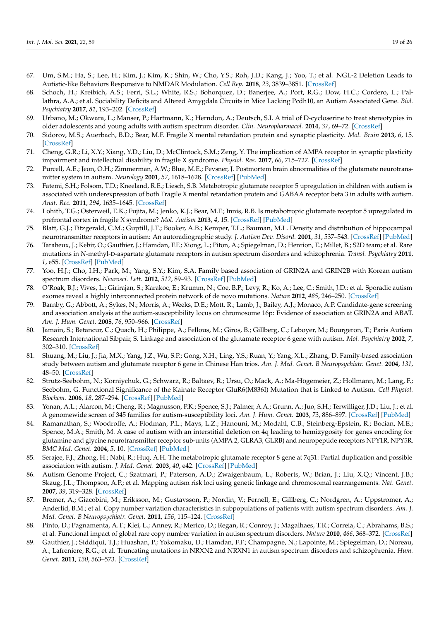- 67. Um, S.M.; Ha, S.; Lee, H.; Kim, J.; Kim, K.; Shin, W.; Cho, Y.S.; Roh, J.D.; Kang, J.; Yoo, T.; et al. NGL-2 Deletion Leads to Autistic-like Behaviors Responsive to NMDAR Modulation. *Cell Rep.* **2018**, *23*, 3839–3851. [\[CrossRef\]](http://dx.doi.org/10.1016/j.celrep.2018.05.087)
- <span id="page-18-0"></span>68. Schoch, H.; Kreibich, A.S.; Ferri, S.L.; White, R.S.; Bohorquez, D.; Banerjee, A.; Port, R.G.; Dow, H.C.; Cordero, L.; Pallathra, A.A.; et al. Sociability Deficits and Altered Amygdala Circuits in Mice Lacking Pcdh10, an Autism Associated Gene. *Biol. Psychiatry* **2017**, *81*, 193–202. [\[CrossRef\]](http://dx.doi.org/10.1016/j.biopsych.2016.06.008)
- <span id="page-18-1"></span>69. Urbano, M.; Okwara, L.; Manser, P.; Hartmann, K.; Herndon, A.; Deutsch, S.I. A trial of D-cycloserine to treat stereotypies in older adolescents and young adults with autism spectrum disorder. *Clin. Neuropharmacol.* **2014**, *37*, 69–72. [\[CrossRef\]](http://dx.doi.org/10.1097/WNF.0000000000000033)
- <span id="page-18-2"></span>70. Sidorov, M.S.; Auerbach, B.D.; Bear, M.F. Fragile X mental retardation protein and synaptic plasticity. *Mol. Brain* **2013**, *6*, 15. [\[CrossRef\]](http://dx.doi.org/10.1186/1756-6606-6-15)
- <span id="page-18-3"></span>71. Cheng, G.R.; Li, X.Y.; Xiang, Y.D.; Liu, D.; McClintock, S.M.; Zeng, Y. The implication of AMPA receptor in synaptic plasticity impairment and intellectual disability in fragile X syndrome. *Physiol. Res.* **2017**, *66*, 715–727. [\[CrossRef\]](http://dx.doi.org/10.33549/physiolres.933473)
- <span id="page-18-4"></span>72. Purcell, A.E.; Jeon, O.H.; Zimmerman, A.W.; Blue, M.E.; Pevsner, J. Postmortem brain abnormalities of the glutamate neurotransmitter system in autism. *Neurology* **2001**, *57*, 1618–1628. [\[CrossRef\]](http://dx.doi.org/10.1212/WNL.57.9.1618) [\[PubMed\]](http://www.ncbi.nlm.nih.gov/pubmed/11706102)
- 73. Fatemi, S.H.; Folsom, T.D.; Kneeland, R.E.; Liesch, S.B. Metabotropic glutamate receptor 5 upregulation in children with autism is associated with underexpression of both Fragile X mental retardation protein and GABAA receptor beta 3 in adults with autism. *Anat. Rec.* **2011**, *294*, 1635–1645. [\[CrossRef\]](http://dx.doi.org/10.1002/ar.21299)
- 74. Lohith, T.G.; Osterweil, E.K.; Fujita, M.; Jenko, K.J.; Bear, M.F.; Innis, R.B. Is metabotropic glutamate receptor 5 upregulated in prefrontal cortex in fragile X syndrome? *Mol. Autism* **2013**, *4*, 15. [\[CrossRef\]](http://dx.doi.org/10.1186/2040-2392-4-15) [\[PubMed\]](http://www.ncbi.nlm.nih.gov/pubmed/23706040)
- <span id="page-18-5"></span>75. Blatt, G.J.; Fitzgerald, C.M.; Guptill, J.T.; Booker, A.B.; Kemper, T.L.; Bauman, M.L. Density and distribution of hippocampal neurotransmitter receptors in autism: An autoradiographic study. *J. Autism Dev. Disord.* **2001**, *31*, 537–543. [\[CrossRef\]](http://dx.doi.org/10.1023/A:1013238809666) [\[PubMed\]](http://www.ncbi.nlm.nih.gov/pubmed/11814263)
- <span id="page-18-6"></span>76. Tarabeux, J.; Kebir, O.; Gauthier, J.; Hamdan, F.F.; Xiong, L.; Piton, A.; Spiegelman, D.; Henrion, E.; Millet, B.; S2D team; et al. Rare mutations in *N*-methyl-D-aspartate glutamate receptors in autism spectrum disorders and schizophrenia. *Transl. Psychiatry* **2011**, *1*, e55. [\[CrossRef\]](http://dx.doi.org/10.1038/tp.2011.52) [\[PubMed\]](http://www.ncbi.nlm.nih.gov/pubmed/22833210)
- 77. Yoo, H.J.; Cho, I.H.; Park, M.; Yang, S.Y.; Kim, S.A. Family based association of GRIN2A and GRIN2B with Korean autism spectrum disorders. *Neurosci. Lett.* **2012**, *512*, 89–93. [\[CrossRef\]](http://dx.doi.org/10.1016/j.neulet.2012.01.061) [\[PubMed\]](http://www.ncbi.nlm.nih.gov/pubmed/22326929)
- 78. O'Roak, B.J.; Vives, L.; Girirajan, S.; Karakoc, E.; Krumm, N.; Coe, B.P.; Levy, R.; Ko, A.; Lee, C.; Smith, J.D.; et al. Sporadic autism exomes reveal a highly interconnected protein network of de novo mutations. *Nature* **2012**, *485*, 246–250. [\[CrossRef\]](http://dx.doi.org/10.1038/nature10989)
- <span id="page-18-7"></span>79. Barnby, G.; Abbott, A.; Sykes, N.; Morris, A.; Weeks, D.E.; Mott, R.; Lamb, J.; Bailey, A.J.; Monaco, A.P. Candidate-gene screening and association analysis at the autism-susceptibility locus on chromosome 16p: Evidence of association at GRIN2A and ABAT. *Am. J. Hum. Genet.* **2005**, *76*, 950–966. [\[CrossRef\]](http://dx.doi.org/10.1086/430454)
- <span id="page-18-8"></span>80. Jamain, S.; Betancur, C.; Quach, H.; Philippe, A.; Fellous, M.; Giros, B.; Gillberg, C.; Leboyer, M.; Bourgeron, T.; Paris Autism Research International Sibpair, S. Linkage and association of the glutamate receptor 6 gene with autism. *Mol. Psychiatry* **2002**, *7*, 302–310. [\[CrossRef\]](http://dx.doi.org/10.1038/sj.mp.4000979)
- 81. Shuang, M.; Liu, J.; Jia, M.X.; Yang, J.Z.; Wu, S.P.; Gong, X.H.; Ling, Y.S.; Ruan, Y.; Yang, X.L.; Zhang, D. Family-based association study between autism and glutamate receptor 6 gene in Chinese Han trios. *Am. J. Med. Genet. B Neuropsychiatr. Genet.* **2004**, *131*, 48–50. [\[CrossRef\]](http://dx.doi.org/10.1002/ajmg.b.30025)
- <span id="page-18-9"></span>82. Strutz-Seebohm, N.; Korniychuk, G.; Schwarz, R.; Baltaev, R.; Ursu, O.; Mack, A.; Ma-Högemeier, Z.; Hollmann, M.; Lang, F.; Seebohm, G. Functional Significance of the Kainate Receptor GluR6(M836I) Mutation that is Linked to Autism. *Cell Physiol. Biochem.* **2006**, *18*, 287–294. [\[CrossRef\]](http://dx.doi.org/10.1159/000097675) [\[PubMed\]](http://www.ncbi.nlm.nih.gov/pubmed/17167233)
- <span id="page-18-10"></span>83. Yonan, A.L.; Alarcon, M.; Cheng, R.; Magnusson, P.K.; Spence, S.J.; Palmer, A.A.; Grunn, A.; Juo, S.H.; Terwilliger, J.D.; Liu, J.; et al. A genomewide screen of 345 families for autism-susceptibility loci. *Am. J. Hum. Genet.* **2003**, *73*, 886–897. [\[CrossRef\]](http://dx.doi.org/10.1086/378778) [\[PubMed\]](http://www.ncbi.nlm.nih.gov/pubmed/13680528)
- <span id="page-18-11"></span>84. Ramanathan, S.; Woodroffe, A.; Flodman, P.L.; Mays, L.Z.; Hanouni, M.; Modahl, C.B.; Steinberg-Epstein, R.; Bocian, M.E.; Spence, M.A.; Smith, M. A case of autism with an interstitial deletion on 4q leading to hemizygosity for genes encoding for glutamine and glycine neurotransmitter receptor sub-units (AMPA 2, GLRA3, GLRB) and neuropeptide receptors NPY1R, NPY5R. *BMC Med. Genet.* **2004**, *5*, 10. [\[CrossRef\]](http://dx.doi.org/10.1186/1471-2350-5-10) [\[PubMed\]](http://www.ncbi.nlm.nih.gov/pubmed/15090072)
- <span id="page-18-12"></span>85. Serajee, F.J.; Zhong, H.; Nabi, R.; Huq, A.H. The metabotropic glutamate receptor 8 gene at 7q31: Partial duplication and possible association with autism. *J. Med. Genet.* **2003**, *40*, e42. [\[CrossRef\]](http://dx.doi.org/10.1136/jmg.40.4.e42) [\[PubMed\]](http://www.ncbi.nlm.nih.gov/pubmed/12676915)
- <span id="page-18-13"></span>86. Autism Genome Project, C.; Szatmari, P.; Paterson, A.D.; Zwaigenbaum, L.; Roberts, W.; Brian, J.; Liu, X.Q.; Vincent, J.B.; Skaug, J.L.; Thompson, A.P.; et al. Mapping autism risk loci using genetic linkage and chromosomal rearrangements. *Nat. Genet.* **2007**, *39*, 319–328. [\[CrossRef\]](http://dx.doi.org/10.1038/ng1985)
- 87. Bremer, A.; Giacobini, M.; Eriksson, M.; Gustavsson, P.; Nordin, V.; Fernell, E.; Gillberg, C.; Nordgren, A.; Uppstromer, A.; Anderlid, B.M.; et al. Copy number variation characteristics in subpopulations of patients with autism spectrum disorders. *Am. J. Med. Genet. B Neuropsychiatr. Genet.* **2011**, *156*, 115–124. [\[CrossRef\]](http://dx.doi.org/10.1002/ajmg.b.31142)
- <span id="page-18-15"></span>88. Pinto, D.; Pagnamenta, A.T.; Klei, L.; Anney, R.; Merico, D.; Regan, R.; Conroy, J.; Magalhaes, T.R.; Correia, C.; Abrahams, B.S.; et al. Functional impact of global rare copy number variation in autism spectrum disorders. *Nature* **2010**, *466*, 368–372. [\[CrossRef\]](http://dx.doi.org/10.1038/nature09146)
- <span id="page-18-14"></span>89. Gauthier, J.; Siddiqui, T.J.; Huashan, P.; Yokomaku, D.; Hamdan, F.F.; Champagne, N.; Lapointe, M.; Spiegelman, D.; Noreau, A.; Lafreniere, R.G.; et al. Truncating mutations in NRXN2 and NRXN1 in autism spectrum disorders and schizophrenia. *Hum. Genet.* **2011**, *130*, 563–573. [\[CrossRef\]](http://dx.doi.org/10.1007/s00439-011-0975-z)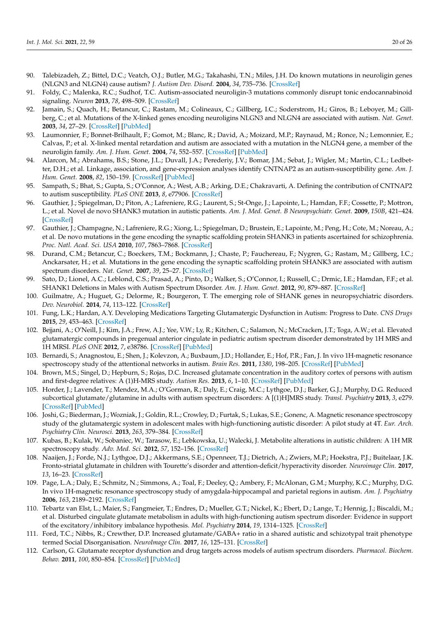- <span id="page-19-0"></span>90. Talebizadeh, Z.; Bittel, D.C.; Veatch, O.J.; Butler, M.G.; Takahashi, T.N.; Miles, J.H. Do known mutations in neuroligin genes (NLGN3 and NLGN4) cause autism? *J. Autism Dev. Disord.* **2004**, *34*, 735–736. [\[CrossRef\]](http://dx.doi.org/10.1007/s10803-004-5295-x)
- 91. Foldy, C.; Malenka, R.C.; Sudhof, T.C. Autism-associated neuroligin-3 mutations commonly disrupt tonic endocannabinoid signaling. *Neuron* **2013**, *78*, 498–509. [\[CrossRef\]](http://dx.doi.org/10.1016/j.neuron.2013.02.036)
- 92. Jamain, S.; Quach, H.; Betancur, C.; Rastam, M.; Colineaux, C.; Gillberg, I.C.; Soderstrom, H.; Giros, B.; Leboyer, M.; Gillberg, C.; et al. Mutations of the X-linked genes encoding neuroligins NLGN3 and NLGN4 are associated with autism. *Nat. Genet.* **2003**, *34*, 27–29. [\[CrossRef\]](http://dx.doi.org/10.1038/ng1136) [\[PubMed\]](http://www.ncbi.nlm.nih.gov/pubmed/12669065)
- <span id="page-19-1"></span>93. Laumonnier, F.; Bonnet-Brilhault, F.; Gomot, M.; Blanc, R.; David, A.; Moizard, M.P.; Raynaud, M.; Ronce, N.; Lemonnier, E.; Calvas, P.; et al. X-linked mental retardation and autism are associated with a mutation in the NLGN4 gene, a member of the neuroligin family. *Am. J. Hum. Genet.* **2004**, *74*, 552–557. [\[CrossRef\]](http://dx.doi.org/10.1086/382137) [\[PubMed\]](http://www.ncbi.nlm.nih.gov/pubmed/14963808)
- <span id="page-19-2"></span>94. Alarcon, M.; Abrahams, B.S.; Stone, J.L.; Duvall, J.A.; Perederiy, J.V.; Bomar, J.M.; Sebat, J.; Wigler, M.; Martin, C.L.; Ledbetter, D.H.; et al. Linkage, association, and gene-expression analyses identify CNTNAP2 as an autism-susceptibility gene. *Am. J. Hum. Genet.* **2008**, *82*, 150–159. [\[CrossRef\]](http://dx.doi.org/10.1016/j.ajhg.2007.09.005) [\[PubMed\]](http://www.ncbi.nlm.nih.gov/pubmed/18179893)
- <span id="page-19-3"></span>95. Sampath, S.; Bhat, S.; Gupta, S.; O'Connor, A.; West, A.B.; Arking, D.E.; Chakravarti, A. Defining the contribution of CNTNAP2 to autism susceptibility. *PLoS ONE* **2013**, *8*, e77906. [\[CrossRef\]](http://dx.doi.org/10.1371/annotation/b4552fc7-285e-42e8-b126-d498eaf9f73a)
- <span id="page-19-4"></span>96. Gauthier, J.; Spiegelman, D.; Piton, A.; Lafreniere, R.G.; Laurent, S.; St-Onge, J.; Lapointe, L.; Hamdan, F.F.; Cossette, P.; Mottron, L.; et al. Novel de novo SHANK3 mutation in autistic patients. *Am. J. Med. Genet. B Neuropsychiatr. Genet.* **2009**, *150B*, 421–424. [\[CrossRef\]](http://dx.doi.org/10.1002/ajmg.b.30822)
- 97. Gauthier, J.; Champagne, N.; Lafreniere, R.G.; Xiong, L.; Spiegelman, D.; Brustein, E.; Lapointe, M.; Peng, H.; Cote, M.; Noreau, A.; et al. De novo mutations in the gene encoding the synaptic scaffolding protein SHANK3 in patients ascertained for schizophrenia. *Proc. Natl. Acad. Sci. USA* **2010**, *107*, 7863–7868. [\[CrossRef\]](http://dx.doi.org/10.1073/pnas.0906232107)
- 98. Durand, C.M.; Betancur, C.; Boeckers, T.M.; Bockmann, J.; Chaste, P.; Fauchereau, F.; Nygren, G.; Rastam, M.; Gillberg, I.C.; Anckarsater, H.; et al. Mutations in the gene encoding the synaptic scaffolding protein SHANK3 are associated with autism spectrum disorders. *Nat. Genet.* **2007**, *39*, 25–27. [\[CrossRef\]](http://dx.doi.org/10.1038/ng1933)
- 99. Sato, D.; Lionel, A.C.; Leblond, C.S.; Prasad, A.; Pinto, D.; Walker, S.; O'Connor, I.; Russell, C.; Drmic, I.E.; Hamdan, F.F.; et al. SHANK1 Deletions in Males with Autism Spectrum Disorder. *Am. J. Hum. Genet.* **2012**, *90*, 879–887. [\[CrossRef\]](http://dx.doi.org/10.1016/j.ajhg.2012.03.017)
- <span id="page-19-5"></span>100. Guilmatre, A.; Huguet, G.; Delorme, R.; Bourgeron, T. The emerging role of SHANK genes in neuropsychiatric disorders. *Dev. Neurobiol.* **2014**, *74*, 113–122. [\[CrossRef\]](http://dx.doi.org/10.1002/dneu.22128)
- <span id="page-19-6"></span>101. Fung, L.K.; Hardan, A.Y. Developing Medications Targeting Glutamatergic Dysfunction in Autism: Progress to Date. *CNS Drugs* **2015**, *29*, 453–463. [\[CrossRef\]](http://dx.doi.org/10.1007/s40263-015-0252-0)
- <span id="page-19-7"></span>102. Bejjani, A.; O'Neill, J.; Kim, J.A.; Frew, A.J.; Yee, V.W.; Ly, R.; Kitchen, C.; Salamon, N.; McCracken, J.T.; Toga, A.W.; et al. Elevated glutamatergic compounds in pregenual anterior cingulate in pediatric autism spectrum disorder demonstrated by 1H MRS and 1H MRSI. *PLoS ONE* **2012**, *7*, e38786. [\[CrossRef\]](http://dx.doi.org/10.1371/journal.pone.0038786) [\[PubMed\]](http://www.ncbi.nlm.nih.gov/pubmed/22848344)
- <span id="page-19-10"></span>103. Bernardi, S.; Anagnostou, E.; Shen, J.; Kolevzon, A.; Buxbaum, J.D.; Hollander, E.; Hof, P.R.; Fan, J. In vivo 1H-magnetic resonance spectroscopy study of the attentional networks in autism. *Brain Res.* **2011**, *1380*, 198–205. [\[CrossRef\]](http://dx.doi.org/10.1016/j.brainres.2010.12.057) [\[PubMed\]](http://www.ncbi.nlm.nih.gov/pubmed/21185269)
- 104. Brown, M.S.; Singel, D.; Hepburn, S.; Rojas, D.C. Increased glutamate concentration in the auditory cortex of persons with autism and first-degree relatives: A (1)H-MRS study. *Autism Res.* **2013**, *6*, 1–10. [\[CrossRef\]](http://dx.doi.org/10.1002/aur.1260) [\[PubMed\]](http://www.ncbi.nlm.nih.gov/pubmed/23166003)
- 105. Horder, J.; Lavender, T.; Mendez, M.A.; O'Gorman, R.; Daly, E.; Craig, M.C.; Lythgoe, D.J.; Barker, G.J.; Murphy, D.G. Reduced subcortical glutamate/glutamine in adults with autism spectrum disorders: A [(1)H]MRS study. *Transl. Psychiatry* **2013**, *3*, e279. [\[CrossRef\]](http://dx.doi.org/10.1038/tp.2013.53) [\[PubMed\]](http://www.ncbi.nlm.nih.gov/pubmed/23838890)
- 106. Joshi, G.; Biederman, J.; Wozniak, J.; Goldin, R.L.; Crowley, D.; Furtak, S.; Lukas, S.E.; Gonenc, A. Magnetic resonance spectroscopy study of the glutamatergic system in adolescent males with high-functioning autistic disorder: A pilot study at 4T. *Eur. Arch. Psychiatry Clin. Neurosci.* **2013**, *263*, 379–384. [\[CrossRef\]](http://dx.doi.org/10.1007/s00406-012-0369-9)
- 107. Kubas, B.; Kulak, W.; Sobaniec, W.; Tarasow, E.; Lebkowska, U.; Walecki, J. Metabolite alterations in autistic children: A 1H MR spectroscopy study. *Adv. Med. Sci.* **2012**, *57*, 152–156. [\[CrossRef\]](http://dx.doi.org/10.2478/v10039-012-0014-x)
- 108. Naaijen, J.; Forde, N.J.; Lythgoe, D.J.; Akkermans, S.E.; Openneer, T.J.; Dietrich, A.; Zwiers, M.P.; Hoekstra, P.J.; Buitelaar, J.K. Fronto-striatal glutamate in children with Tourette's disorder and attention-deficit/hyperactivity disorder. *Neuroimage Clin.* **2017**, *13*, 16–23. [\[CrossRef\]](http://dx.doi.org/10.1016/j.nicl.2016.11.013)
- 109. Page, L.A.; Daly, E.; Schmitz, N.; Simmons, A.; Toal, F.; Deeley, Q.; Ambery, F.; McAlonan, G.M.; Murphy, K.C.; Murphy, D.G. In vivo 1H-magnetic resonance spectroscopy study of amygdala-hippocampal and parietal regions in autism. *Am. J. Psychiatry* **2006**, *163*, 2189–2192. [\[CrossRef\]](http://dx.doi.org/10.1176/ajp.2006.163.12.2189)
- <span id="page-19-8"></span>110. Tebartz van Elst, L.; Maier, S.; Fangmeier, T.; Endres, D.; Mueller, G.T.; Nickel, K.; Ebert, D.; Lange, T.; Hennig, J.; Biscaldi, M.; et al. Disturbed cingulate glutamate metabolism in adults with high-functioning autism spectrum disorder: Evidence in support of the excitatory/inhibitory imbalance hypothesis. *Mol. Psychiatry* **2014**, *19*, 1314–1325. [\[CrossRef\]](http://dx.doi.org/10.1038/mp.2014.62)
- <span id="page-19-9"></span>111. Ford, T.C.; Nibbs, R.; Crewther, D.P. Increased glutamate/GABA+ ratio in a shared autistic and schizotypal trait phenotype termed Social Disorganisation. *NeuroImage Clin.* **2017**, *16*, 125–131. [\[CrossRef\]](http://dx.doi.org/10.1016/j.nicl.2017.07.009)
- <span id="page-19-11"></span>112. Carlson, G. Glutamate receptor dysfunction and drug targets across models of autism spectrum disorders. *Pharmacol. Biochem. Behav.* **2011**, *100*, 850–854. [\[CrossRef\]](http://dx.doi.org/10.1016/j.pbb.2011.02.003) [\[PubMed\]](http://www.ncbi.nlm.nih.gov/pubmed/21315104)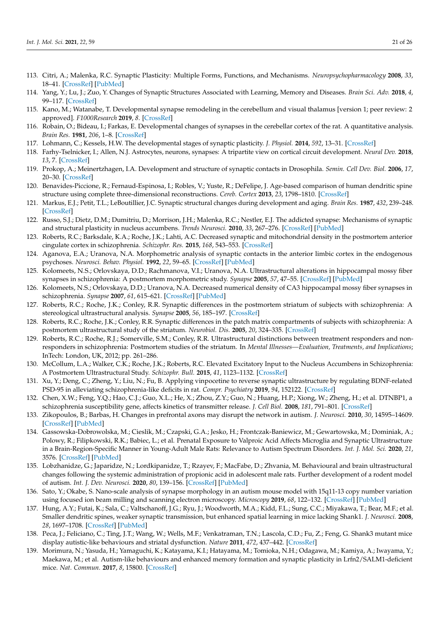- <span id="page-20-0"></span>113. Citri, A.; Malenka, R.C. Synaptic Plasticity: Multiple Forms, Functions, and Mechanisms. *Neuropsychopharmacology* **2008**, *33*, 18–41. [\[CrossRef\]](http://dx.doi.org/10.1038/sj.npp.1301559) [\[PubMed\]](http://www.ncbi.nlm.nih.gov/pubmed/17728696)
- <span id="page-20-1"></span>114. Yang, Y.; Lu, J.; Zuo, Y. Changes of Synaptic Structures Associated with Learning, Memory and Diseases. *Brain Sci. Adv.* **2018**, *4*, 99–117. [\[CrossRef\]](http://dx.doi.org/10.26599/BSA.2018.2018.9050012)
- <span id="page-20-2"></span>115. Kano, M.; Watanabe, T. Developmental synapse remodeling in the cerebellum and visual thalamus [version 1; peer review: 2 approved]. *F1000Research* **2019**, *8*. [\[CrossRef\]](http://dx.doi.org/10.12688/f1000research.18903.1)
- <span id="page-20-3"></span>116. Robain, O.; Bideau, I.; Farkas, E. Developmental changes of synapses in the cerebellar cortex of the rat. A quantitative analysis. *Brain Res.* **1981**, *206*, 1–8. [\[CrossRef\]](http://dx.doi.org/10.1016/0006-8993(81)90095-0)
- <span id="page-20-4"></span>117. Lohmann, C.; Kessels, H.W. The developmental stages of synaptic plasticity. *J. Physiol.* **2014**, *592*, 13–31. [\[CrossRef\]](http://dx.doi.org/10.1113/jphysiol.2012.235119)
- 118. Farhy-Tselnicker, I.; Allen, N.J. Astrocytes, neurons, synapses: A tripartite view on cortical circuit development. *Neural Dev.* **2018**, *13*, 7. [\[CrossRef\]](http://dx.doi.org/10.1186/s13064-018-0104-y)
- <span id="page-20-5"></span>119. Prokop, A.; Meinertzhagen, I.A. Development and structure of synaptic contacts in Drosophila. *Semin. Cell Dev. Biol.* **2006**, *17*, 20–30. [\[CrossRef\]](http://dx.doi.org/10.1016/j.semcdb.2005.11.010)
- <span id="page-20-6"></span>120. Benavides-Piccione, R.; Fernaud-Espinosa, I.; Robles, V.; Yuste, R.; DeFelipe, J. Age-based comparison of human dendritic spine structure using complete three-dimensional reconstructions. *Cereb. Cortex* **2013**, *23*, 1798–1810. [\[CrossRef\]](http://dx.doi.org/10.1093/cercor/bhs154)
- <span id="page-20-7"></span>121. Markus, E.J.; Petit, T.L.; LeBoutillier, J.C. Synaptic structural changes during development and aging. *Brain Res.* **1987**, *432*, 239–248. [\[CrossRef\]](http://dx.doi.org/10.1016/0165-3806(87)90048-4)
- <span id="page-20-8"></span>122. Russo, S.J.; Dietz, D.M.; Dumitriu, D.; Morrison, J.H.; Malenka, R.C.; Nestler, E.J. The addicted synapse: Mechanisms of synaptic and structural plasticity in nucleus accumbens. *Trends Neurosci.* **2010**, *33*, 267–276. [\[CrossRef\]](http://dx.doi.org/10.1016/j.tins.2010.02.002) [\[PubMed\]](http://www.ncbi.nlm.nih.gov/pubmed/20207024)
- <span id="page-20-9"></span>123. Roberts, R.C.; Barksdale, K.A.; Roche, J.K.; Lahti, A.C. Decreased synaptic and mitochondrial density in the postmortem anterior cingulate cortex in schizophrenia. *Schizophr. Res.* **2015**, *168*, 543–553. [\[CrossRef\]](http://dx.doi.org/10.1016/j.schres.2015.07.016)
- <span id="page-20-10"></span>124. Aganova, E.A.; Uranova, N.A. Morphometric analysis of synaptic contacts in the anterior limbic cortex in the endogenous psychoses. *Neurosci. Behav. Physiol.* **1992**, *22*, 59–65. [\[CrossRef\]](http://dx.doi.org/10.1007/BF01186670) [\[PubMed\]](http://www.ncbi.nlm.nih.gov/pubmed/1614620)
- <span id="page-20-11"></span>125. Kolomeets, N.S.; Orlovskaya, D.D.; Rachmanova, V.I.; Uranova, N.A. Ultrastructural alterations in hippocampal mossy fiber synapses in schizophrenia: A postmortem morphometric study. *Synapse* **2005**, *57*, 47–55. [\[CrossRef\]](http://dx.doi.org/10.1002/syn.20153) [\[PubMed\]](http://www.ncbi.nlm.nih.gov/pubmed/15858835)
- <span id="page-20-12"></span>126. Kolomeets, N.S.; Orlovskaya, D.D.; Uranova, N.A. Decreased numerical density of CA3 hippocampal mossy fiber synapses in schizophrenia. *Synapse* **2007**, *61*, 615–621. [\[CrossRef\]](http://dx.doi.org/10.1002/syn.20405) [\[PubMed\]](http://www.ncbi.nlm.nih.gov/pubmed/17476682)
- <span id="page-20-13"></span>127. Roberts, R.C.; Roche, J.K.; Conley, R.R. Synaptic differences in the postmortem striatum of subjects with schizophrenia: A stereological ultrastructural analysis. *Synapse* **2005**, *56*, 185–197. [\[CrossRef\]](http://dx.doi.org/10.1002/syn.20144)
- <span id="page-20-25"></span>128. Roberts, R.C.; Roche, J.K.; Conley, R.R. Synaptic differences in the patch matrix compartments of subjects with schizophrenia: A postmortem ultrastructural study of the striatum. *Neurobiol. Dis.* **2005**, *20*, 324–335. [\[CrossRef\]](http://dx.doi.org/10.1016/j.nbd.2005.03.015)
- <span id="page-20-14"></span>129. Roberts, R.C.; Roche, R.J.; Somerville, S.M.; Conley, R.R. Ultrastructural distinctions between treatment responders and nonresponders in schizophrenia: Postmortem studies of the striatum. In *Mental Illnesses—Evaluation, Treatments, and Implications*; InTech: London, UK, 2012; pp. 261–286.
- <span id="page-20-15"></span>130. McCollum, L.A.; Walker, C.K.; Roche, J.K.; Roberts, R.C. Elevated Excitatory Input to the Nucleus Accumbens in Schizophrenia: A Postmortem Ultrastructural Study. *Schizophr. Bull.* **2015**, *41*, 1123–1132. [\[CrossRef\]](http://dx.doi.org/10.1093/schbul/sbv030)
- <span id="page-20-16"></span>131. Xu, Y.; Deng, C.; Zheng, Y.; Liu, N.; Fu, B. Applying vinpocetine to reverse synaptic ultrastructure by regulating BDNF-related PSD-95 in alleviating schizophrenia-like deficits in rat. *Compr. Psychiatry* **2019**, *94*, 152122. [\[CrossRef\]](http://dx.doi.org/10.1016/j.comppsych.2019.152122)
- <span id="page-20-17"></span>132. Chen, X.W.; Feng, Y.Q.; Hao, C.J.; Guo, X.L.; He, X.; Zhou, Z.Y.; Guo, N.; Huang, H.P.; Xiong, W.; Zheng, H.; et al. DTNBP1, a schizophrenia susceptibility gene, affects kinetics of transmitter release. *J. Cell Biol.* **2008**, *181*, 791–801. [\[CrossRef\]](http://dx.doi.org/10.1083/jcb.200711021)
- <span id="page-20-18"></span>133. Zikopoulos, B.; Barbas, H. Changes in prefrontal axons may disrupt the network in autism. *J. Neurosci.* **2010**, *30*, 14595–14609. [\[CrossRef\]](http://dx.doi.org/10.1523/JNEUROSCI.2257-10.2010) [\[PubMed\]](http://www.ncbi.nlm.nih.gov/pubmed/21048117)
- <span id="page-20-19"></span>134. Gassowska-Dobrowolska, M.; Cieslik, M.; Czapski, G.A.; Jesko, H.; Frontczak-Baniewicz, M.; Gewartowska, M.; Dominiak, A.; Polowy, R.; Filipkowski, R.K.; Babiec, L.; et al. Prenatal Exposure to Valproic Acid Affects Microglia and Synaptic Ultrastructure in a Brain-Region-Specific Manner in Young-Adult Male Rats: Relevance to Autism Spectrum Disorders. *Int. J. Mol. Sci.* **2020**, *21*, 3576. [\[CrossRef\]](http://dx.doi.org/10.3390/ijms21103576) [\[PubMed\]](http://www.ncbi.nlm.nih.gov/pubmed/32443651)
- <span id="page-20-20"></span>135. Lobzhanidze, G.; Japaridze, N.; Lordkipanidze, T.; Rzayev, F.; MacFabe, D.; Zhvania, M. Behavioural and brain ultrastructural changes following the systemic administration of propionic acid in adolescent male rats. Further development of a rodent model of autism. *Int. J. Dev. Neurosci.* **2020**, *80*, 139–156. [\[CrossRef\]](http://dx.doi.org/10.1002/jdn.10011) [\[PubMed\]](http://www.ncbi.nlm.nih.gov/pubmed/31997401)
- <span id="page-20-21"></span>136. Sato, Y.; Okabe, S. Nano-scale analysis of synapse morphology in an autism mouse model with 15q11-13 copy number variation using focused ion beam milling and scanning electron microscopy. *Microscopy* **2019**, *68*, 122–132. [\[CrossRef\]](http://dx.doi.org/10.1093/jmicro/dfy128) [\[PubMed\]](http://www.ncbi.nlm.nih.gov/pubmed/30371805)
- <span id="page-20-22"></span>137. Hung, A.Y.; Futai, K.; Sala, C.; Valtschanoff, J.G.; Ryu, J.; Woodworth, M.A.; Kidd, F.L.; Sung, C.C.; Miyakawa, T.; Bear, M.F.; et al. Smaller dendritic spines, weaker synaptic transmission, but enhanced spatial learning in mice lacking Shank1. *J. Neurosci.* **2008**, *28*, 1697–1708. [\[CrossRef\]](http://dx.doi.org/10.1523/JNEUROSCI.3032-07.2008) [\[PubMed\]](http://www.ncbi.nlm.nih.gov/pubmed/18272690)
- <span id="page-20-23"></span>138. Peca, J.; Feliciano, C.; Ting, J.T.; Wang, W.; Wells, M.F.; Venkatraman, T.N.; Lascola, C.D.; Fu, Z.; Feng, G. Shank3 mutant mice display autistic-like behaviours and striatal dysfunction. *Nature* **2011**, *472*, 437–442. [\[CrossRef\]](http://dx.doi.org/10.1038/nature09965)
- <span id="page-20-24"></span>139. Morimura, N.; Yasuda, H.; Yamaguchi, K.; Katayama, K.I.; Hatayama, M.; Tomioka, N.H.; Odagawa, M.; Kamiya, A.; Iwayama, Y.; Maekawa, M.; et al. Autism-like behaviours and enhanced memory formation and synaptic plasticity in Lrfn2/SALM1-deficient mice. *Nat. Commun.* **2017**, *8*, 15800. [\[CrossRef\]](http://dx.doi.org/10.1038/ncomms15800)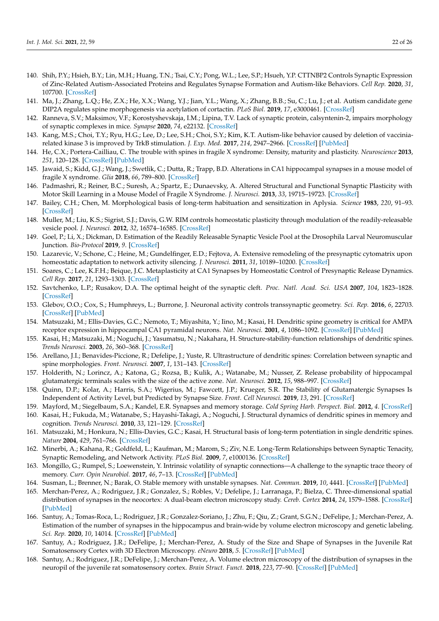- <span id="page-21-0"></span>140. Shih, P.Y.; Hsieh, B.Y.; Lin, M.H.; Huang, T.N.; Tsai, C.Y.; Pong, W.L.; Lee, S.P.; Hsueh, Y.P. CTTNBP2 Controls Synaptic Expression of Zinc-Related Autism-Associated Proteins and Regulates Synapse Formation and Autism-like Behaviors. *Cell Rep.* **2020**, *31*, 107700. [\[CrossRef\]](http://dx.doi.org/10.1016/j.celrep.2020.107700)
- <span id="page-21-1"></span>141. Ma, J.; Zhang, L.Q.; He, Z.X.; He, X.X.; Wang, Y.J.; Jian, Y.L.; Wang, X.; Zhang, B.B.; Su, C.; Lu, J.; et al. Autism candidate gene DIP2A regulates spine morphogenesis via acetylation of cortactin. *PLoS Biol.* **2019**, *17*, e3000461. [\[CrossRef\]](http://dx.doi.org/10.1371/journal.pbio.3000461)
- <span id="page-21-2"></span>142. Ranneva, S.V.; Maksimov, V.F.; Korostyshevskaja, I.M.; Lipina, T.V. Lack of synaptic protein, calsyntenin-2, impairs morphology of synaptic complexes in mice. *Synapse* **2020**, *74*, e22132. [\[CrossRef\]](http://dx.doi.org/10.1002/syn.22132)
- <span id="page-21-3"></span>143. Kang, M.S.; Choi, T.Y.; Ryu, H.G.; Lee, D.; Lee, S.H.; Choi, S.Y.; Kim, K.T. Autism-like behavior caused by deletion of vacciniarelated kinase 3 is improved by TrkB stimulation. *J. Exp. Med.* **2017**, *214*, 2947–2966. [\[CrossRef\]](http://dx.doi.org/10.1084/jem.20160974) [\[PubMed\]](http://www.ncbi.nlm.nih.gov/pubmed/28899869)
- <span id="page-21-4"></span>144. He, C.X.; Portera-Cailliau, C. The trouble with spines in fragile X syndrome: Density, maturity and plasticity. *Neuroscience* **2013**, *251*, 120–128. [\[CrossRef\]](http://dx.doi.org/10.1016/j.neuroscience.2012.03.049) [\[PubMed\]](http://www.ncbi.nlm.nih.gov/pubmed/22522472)
- <span id="page-21-5"></span>145. Jawaid, S.; Kidd, G.J.; Wang, J.; Swetlik, C.; Dutta, R.; Trapp, B.D. Alterations in CA1 hippocampal synapses in a mouse model of fragile X syndrome. *Glia* **2018**, *66*, 789–800. [\[CrossRef\]](http://dx.doi.org/10.1002/glia.23284)
- <span id="page-21-6"></span>146. Padmashri, R.; Reiner, B.C.; Suresh, A.; Spartz, E.; Dunaevsky, A. Altered Structural and Functional Synaptic Plasticity with Motor Skill Learning in a Mouse Model of Fragile X Syndrome. *J. Neurosci.* **2013**, *33*, 19715–19723. [\[CrossRef\]](http://dx.doi.org/10.1523/JNEUROSCI.2514-13.2013)
- <span id="page-21-7"></span>147. Bailey, C.H.; Chen, M. Morphological basis of long-term habituation and sensitization in Aplysia. *Science* **1983**, *220*, 91–93. [\[CrossRef\]](http://dx.doi.org/10.1126/science.6828885)
- <span id="page-21-8"></span>148. Muller, M.; Liu, K.S.; Sigrist, S.J.; Davis, G.W. RIM controls homeostatic plasticity through modulation of the readily-releasable vesicle pool. *J. Neurosci.* **2012**, *32*, 16574–16585. [\[CrossRef\]](http://dx.doi.org/10.1523/JNEUROSCI.0981-12.2012)
- <span id="page-21-9"></span>149. Goel, P.; Li, X.; Dickman, D. Estimation of the Readily Releasable Synaptic Vesicle Pool at the Drosophila Larval Neuromuscular Junction. *Bio-Protocol* **2019**, *9*. [\[CrossRef\]](http://dx.doi.org/10.21769/BioProtoc.3127)
- <span id="page-21-10"></span>150. Lazarevic, V.; Schone, C.; Heine, M.; Gundelfinger, E.D.; Fejtova, A. Extensive remodeling of the presynaptic cytomatrix upon homeostatic adaptation to network activity silencing. *J. Neurosci.* **2011**, *31*, 10189–10200. [\[CrossRef\]](http://dx.doi.org/10.1523/JNEUROSCI.2088-11.2011)
- <span id="page-21-11"></span>151. Soares, C.; Lee, K.F.H.; Beique, J.C. Metaplasticity at CA1 Synapses by Homeostatic Control of Presynaptic Release Dynamics. *Cell Rep.* **2017**, *21*, 1293–1303. [\[CrossRef\]](http://dx.doi.org/10.1016/j.celrep.2017.10.025)
- <span id="page-21-12"></span>152. Savtchenko, L.P.; Rusakov, D.A. The optimal height of the synaptic cleft. *Proc. Natl. Acad. Sci. USA* **2007**, *104*, 1823–1828. [\[CrossRef\]](http://dx.doi.org/10.1073/pnas.0606636104)
- <span id="page-21-13"></span>153. Glebov, O.O.; Cox, S.; Humphreys, L.; Burrone, J. Neuronal activity controls transsynaptic geometry. *Sci. Rep.* **2016**, *6*, 22703. [\[CrossRef\]](http://dx.doi.org/10.1038/srep22703) [\[PubMed\]](http://www.ncbi.nlm.nih.gov/pubmed/26951792)
- <span id="page-21-14"></span>154. Matsuzaki, M.; Ellis-Davies, G.C.; Nemoto, T.; Miyashita, Y.; Iino, M.; Kasai, H. Dendritic spine geometry is critical for AMPA receptor expression in hippocampal CA1 pyramidal neurons. *Nat. Neurosci.* **2001**, *4*, 1086–1092. [\[CrossRef\]](http://dx.doi.org/10.1038/nn736) [\[PubMed\]](http://www.ncbi.nlm.nih.gov/pubmed/11687814)
- <span id="page-21-15"></span>155. Kasai, H.; Matsuzaki, M.; Noguchi, J.; Yasumatsu, N.; Nakahara, H. Structure-stability-function relationships of dendritic spines. *Trends Neurosci.* **2003**, *26*, 360–368. [\[CrossRef\]](http://dx.doi.org/10.1016/S0166-2236(03)00162-0)
- <span id="page-21-16"></span>156. Arellano, J.I.; Benavides-Piccione, R.; Defelipe, J.; Yuste, R. Ultrastructure of dendritic spines: Correlation between synaptic and spine morphologies. *Front. Neurosci.* **2007**, *1*, 131–143. [\[CrossRef\]](http://dx.doi.org/10.3389/neuro.01.1.1.010.2007)
- <span id="page-21-17"></span>157. Holderith, N.; Lorincz, A.; Katona, G.; Rozsa, B.; Kulik, A.; Watanabe, M.; Nusser, Z. Release probability of hippocampal glutamatergic terminals scales with the size of the active zone. *Nat. Neurosci.* **2012**, *15*, 988–997. [\[CrossRef\]](http://dx.doi.org/10.1038/nn.3137)
- <span id="page-21-18"></span>158. Quinn, D.P.; Kolar, A.; Harris, S.A.; Wigerius, M.; Fawcett, J.P.; Krueger, S.R. The Stability of Glutamatergic Synapses Is Independent of Activity Level, but Predicted by Synapse Size. *Front. Cell Neurosci.* **2019**, *13*, 291. [\[CrossRef\]](http://dx.doi.org/10.3389/fncel.2019.00291)
- <span id="page-21-19"></span>159. Mayford, M.; Siegelbaum, S.A.; Kandel, E.R. Synapses and memory storage. *Cold Spring Harb. Perspect. Biol.* **2012**, *4*. [\[CrossRef\]](http://dx.doi.org/10.1101/cshperspect.a005751)
- <span id="page-21-20"></span>160. Kasai, H.; Fukuda, M.; Watanabe, S.; Hayashi-Takagi, A.; Noguchi, J. Structural dynamics of dendritic spines in memory and cognition. *Trends Neurosci.* **2010**, *33*, 121–129. [\[CrossRef\]](http://dx.doi.org/10.1016/j.tins.2010.01.001)
- <span id="page-21-21"></span>161. Matsuzaki, M.; Honkura, N.; Ellis-Davies, G.C.; Kasai, H. Structural basis of long-term potentiation in single dendritic spines. *Nature* **2004**, *429*, 761–766. [\[CrossRef\]](http://dx.doi.org/10.1038/nature02617)
- <span id="page-21-22"></span>162. Minerbi, A.; Kahana, R.; Goldfeld, L.; Kaufman, M.; Marom, S.; Ziv, N.E. Long-Term Relationships between Synaptic Tenacity, Synaptic Remodeling, and Network Activity. *PLoS Biol.* **2009**, *7*, e1000136. [\[CrossRef\]](http://dx.doi.org/10.1371/journal.pbio.1000136)
- <span id="page-21-23"></span>163. Mongillo, G.; Rumpel, S.; Loewenstein, Y. Intrinsic volatility of synaptic connections—A challenge to the synaptic trace theory of memory. *Curr. Opin Neurobiol.* **2017**, *46*, 7–13. [\[CrossRef\]](http://dx.doi.org/10.1016/j.conb.2017.06.006) [\[PubMed\]](http://www.ncbi.nlm.nih.gov/pubmed/28710971)
- <span id="page-21-24"></span>164. Susman, L.; Brenner, N.; Barak, O. Stable memory with unstable synapses. *Nat. Commun.* **2019**, *10*, 4441. [\[CrossRef\]](http://dx.doi.org/10.1038/s41467-019-12306-2) [\[PubMed\]](http://www.ncbi.nlm.nih.gov/pubmed/31570719)
- <span id="page-21-25"></span>165. Merchan-Perez, A.; Rodriguez, J.R.; Gonzalez, S.; Robles, V.; Defelipe, J.; Larranaga, P.; Bielza, C. Three-dimensional spatial distribution of synapses in the neocortex: A dual-beam electron microscopy study. *Cereb. Cortex* **2014**, *24*, 1579–1588. [\[CrossRef\]](http://dx.doi.org/10.1093/cercor/bht018) [\[PubMed\]](http://www.ncbi.nlm.nih.gov/pubmed/23365213)
- 166. Santuy, A.; Tomas-Roca, L.; Rodriguez, J.R.; Gonzalez-Soriano, J.; Zhu, F.; Qiu, Z.; Grant, S.G.N.; DeFelipe, J.; Merchan-Perez, A. Estimation of the number of synapses in the hippocampus and brain-wide by volume electron microscopy and genetic labeling. *Sci. Rep.* **2020**, *10*, 14014. [\[CrossRef\]](http://dx.doi.org/10.1038/s41598-020-70859-5) [\[PubMed\]](http://www.ncbi.nlm.nih.gov/pubmed/32814795)
- <span id="page-21-27"></span>167. Santuy, A.; Rodriguez, J.R.; DeFelipe, J.; Merchan-Perez, A. Study of the Size and Shape of Synapses in the Juvenile Rat Somatosensory Cortex with 3D Electron Microscopy. *eNeuro* **2018**, *5*. [\[CrossRef\]](http://dx.doi.org/10.1523/ENEURO.0377-17.2017) [\[PubMed\]](http://www.ncbi.nlm.nih.gov/pubmed/29387782)
- <span id="page-21-26"></span>168. Santuy, A.; Rodriguez, J.R.; DeFelipe, J.; Merchan-Perez, A. Volume electron microscopy of the distribution of synapses in the neuropil of the juvenile rat somatosensory cortex. *Brain Struct. Funct.* **2018**, *223*, 77–90. [\[CrossRef\]](http://dx.doi.org/10.1007/s00429-017-1470-7) [\[PubMed\]](http://www.ncbi.nlm.nih.gov/pubmed/28721455)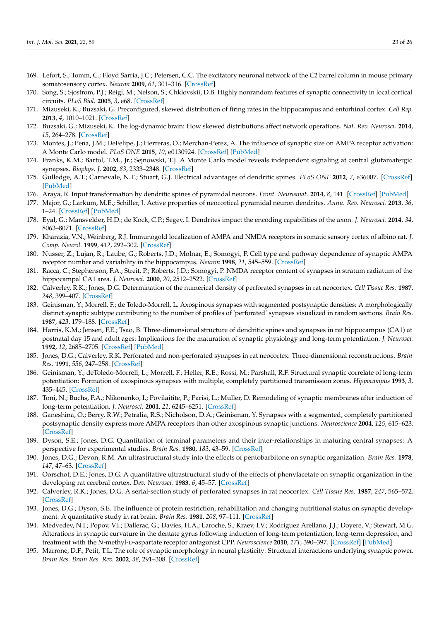- <span id="page-22-0"></span>169. Lefort, S.; Tomm, C.; Floyd Sarria, J.C.; Petersen, C.C. The excitatory neuronal network of the C2 barrel column in mouse primary somatosensory cortex. *Neuron* **2009**, *61*, 301–316. [\[CrossRef\]](http://dx.doi.org/10.1016/j.neuron.2008.12.020)
- <span id="page-22-1"></span>170. Song, S.; Sjostrom, P.J.; Reigl, M.; Nelson, S.; Chklovskii, D.B. Highly nonrandom features of synaptic connectivity in local cortical circuits. *PLoS Biol.* **2005**, *3*, e68. [\[CrossRef\]](http://dx.doi.org/10.1371/journal.pbio.0030068)
- <span id="page-22-2"></span>171. Mizuseki, K.; Buzsaki, G. Preconfigured, skewed distribution of firing rates in the hippocampus and entorhinal cortex. *Cell Rep.* **2013**, *4*, 1010–1021. [\[CrossRef\]](http://dx.doi.org/10.1016/j.celrep.2013.07.039)
- <span id="page-22-3"></span>172. Buzsaki, G.; Mizuseki, K. The log-dynamic brain: How skewed distributions affect network operations. *Nat. Rev. Neurosci.* **2014**, *15*, 264–278. [\[CrossRef\]](http://dx.doi.org/10.1038/nrn3687)
- <span id="page-22-4"></span>173. Montes, J.; Pena, J.M.; DeFelipe, J.; Herreras, O.; Merchan-Perez, A. The influence of synaptic size on AMPA receptor activation: A Monte Carlo model. *PLoS ONE* **2015**, *10*, e0130924. [\[CrossRef\]](http://dx.doi.org/10.1371/journal.pone.0130924) [\[PubMed\]](http://www.ncbi.nlm.nih.gov/pubmed/26107874)
- <span id="page-22-5"></span>174. Franks, K.M.; Bartol, T.M., Jr.; Sejnowski, T.J. A Monte Carlo model reveals independent signaling at central glutamatergic synapses. *Biophys. J.* **2002**, *83*, 2333–2348. [\[CrossRef\]](http://dx.doi.org/10.1016/S0006-3495(02)75248-X)
- <span id="page-22-6"></span>175. Gulledge, A.T.; Carnevale, N.T.; Stuart, G.J. Electrical advantages of dendritic spines. *PLoS ONE* **2012**, *7*, e36007. [\[CrossRef\]](http://dx.doi.org/10.1371/journal.pone.0036007) [\[PubMed\]](http://www.ncbi.nlm.nih.gov/pubmed/22532875)
- <span id="page-22-7"></span>176. Araya, R. Input transformation by dendritic spines of pyramidal neurons. *Front. Neuroanat.* **2014**, *8*, 141. [\[CrossRef\]](http://dx.doi.org/10.3389/fnana.2014.00141) [\[PubMed\]](http://www.ncbi.nlm.nih.gov/pubmed/25520626)
- <span id="page-22-8"></span>177. Major, G.; Larkum, M.E.; Schiller, J. Active properties of neocortical pyramidal neuron dendrites. *Annu. Rev. Neurosci.* **2013**, *36*, 1–24. [\[CrossRef\]](http://dx.doi.org/10.1146/annurev-neuro-062111-150343) [\[PubMed\]](http://www.ncbi.nlm.nih.gov/pubmed/23841837)
- <span id="page-22-9"></span>178. Eyal, G.; Mansvelder, H.D.; de Kock, C.P.; Segev, I. Dendrites impact the encoding capabilities of the axon. *J. Neurosci.* **2014**, *34*, 8063–8071. [\[CrossRef\]](http://dx.doi.org/10.1523/JNEUROSCI.5431-13.2014)
- <span id="page-22-10"></span>179. Kharazia, V.N.; Weinberg, R.J. Immunogold localization of AMPA and NMDA receptors in somatic sensory cortex of albino rat. *J. Comp. Neurol.* **1999**, *412*, 292–302. [\[CrossRef\]](http://dx.doi.org/10.1002/(SICI)1096-9861(19990920)412:2<292::AID-CNE8>3.0.CO;2-G)
- <span id="page-22-11"></span>180. Nusser, Z.; Lujan, R.; Laube, G.; Roberts, J.D.; Molnar, E.; Somogyi, P. Cell type and pathway dependence of synaptic AMPA receptor number and variability in the hippocampus. *Neuron* **1998**, *21*, 545–559. [\[CrossRef\]](http://dx.doi.org/10.1016/S0896-6273(00)80565-6)
- <span id="page-22-12"></span>181. Racca, C.; Stephenson, F.A.; Streit, P.; Roberts, J.D.; Somogyi, P. NMDA receptor content of synapses in stratum radiatum of the hippocampal CA1 area. *J. Neurosci.* **2000**, *20*, 2512–2522. [\[CrossRef\]](http://dx.doi.org/10.1523/JNEUROSCI.20-07-02512.2000)
- <span id="page-22-13"></span>182. Calverley, R.K.; Jones, D.G. Determination of the numerical density of perforated synapses in rat neocortex. *Cell Tissue Res.* **1987**, *248*, 399–407. [\[CrossRef\]](http://dx.doi.org/10.1007/BF00218208)
- 183. Geinisman, Y.; Morrell, F.; de Toledo-Morrell, L. Axospinous synapses with segmented postsynaptic densities: A morphologically distinct synaptic subtype contributing to the number of profiles of 'perforated' synapses visualized in random sections. *Brain Res.* **1987**, *423*, 179–188. [\[CrossRef\]](http://dx.doi.org/10.1016/0006-8993(87)90838-9)
- 184. Harris, K.M.; Jensen, F.E.; Tsao, B. Three-dimensional structure of dendritic spines and synapses in rat hippocampus (CA1) at postnatal day 15 and adult ages: Implications for the maturation of synaptic physiology and long-term potentiation. *J. Neurosci.* **1992**, *12*, 2685–2705. [\[CrossRef\]](http://dx.doi.org/10.1523/JNEUROSCI.12-07-02685.1992) [\[PubMed\]](http://www.ncbi.nlm.nih.gov/pubmed/1613552)
- <span id="page-22-14"></span>185. Jones, D.G.; Calverley, R.K. Perforated and non-perforated synapses in rat neocortex: Three-dimensional reconstructions. *Brain Res.* **1991**, *556*, 247–258. [\[CrossRef\]](http://dx.doi.org/10.1016/0006-8993(91)90312-J)
- <span id="page-22-15"></span>186. Geinisman, Y.; deToledo-Morrell, L.; Morrell, F.; Heller, R.E.; Rossi, M.; Parshall, R.F. Structural synaptic correlate of long-term potentiation: Formation of axospinous synapses with multiple, completely partitioned transmission zones. *Hippocampus* **1993**, *3*, 435–445. [\[CrossRef\]](http://dx.doi.org/10.1002/hipo.450030405)
- <span id="page-22-16"></span>187. Toni, N.; Buchs, P.A.; Nikonenko, I.; Povilaitite, P.; Parisi, L.; Muller, D. Remodeling of synaptic membranes after induction of long-term potentiation. *J. Neurosci.* **2001**, *21*, 6245–6251. [\[CrossRef\]](http://dx.doi.org/10.1523/JNEUROSCI.21-16-06245.2001)
- <span id="page-22-17"></span>188. Ganeshina, O.; Berry, R.W.; Petralia, R.S.; Nicholson, D.A.; Geinisman, Y. Synapses with a segmented, completely partitioned postsynaptic density express more AMPA receptors than other axospinous synaptic junctions. *Neuroscience* **2004**, *125*, 615–623. [\[CrossRef\]](http://dx.doi.org/10.1016/j.neuroscience.2004.02.025)
- <span id="page-22-18"></span>189. Dyson, S.E.; Jones, D.G. Quantitation of terminal parameters and their inter-relationships in maturing central synapses: A perspective for experimental studies. *Brain Res.* **1980**, *183*, 43–59. [\[CrossRef\]](http://dx.doi.org/10.1016/0006-8993(80)90118-3)
- <span id="page-22-19"></span>190. Jones, D.G.; Devon, R.M. An ultrastructural study into the effects of pentobarbitone on synaptic organization. *Brain Res.* **1978**, *147*, 47–63. [\[CrossRef\]](http://dx.doi.org/10.1016/0006-8993(78)90771-0)
- <span id="page-22-20"></span>191. Oorschot, D.E.; Jones, D.G. A quantitative ultrastructural study of the effects of phenylacetate on synaptic organization in the developing rat cerebral cortex. *Dev. Neurosci.* **1983**, *6*, 45–57. [\[CrossRef\]](http://dx.doi.org/10.1159/000112331)
- <span id="page-22-21"></span>192. Calverley, R.K.; Jones, D.G. A serial-section study of perforated synapses in rat neocortex. *Cell Tissue Res.* **1987**, *247*, 565–572. [\[CrossRef\]](http://dx.doi.org/10.1007/BF00215750)
- <span id="page-22-22"></span>193. Jones, D.G.; Dyson, S.E. The influence of protein restriction, rehabilitation and changing nutritional status on synaptic development: A quantitative study in rat brain. *Brain Res.* **1981**, *208*, 97–111. [\[CrossRef\]](http://dx.doi.org/10.1016/0006-8993(81)90623-5)
- <span id="page-22-23"></span>194. Medvedev, N.I.; Popov, V.I.; Dallerac, G.; Davies, H.A.; Laroche, S.; Kraev, I.V.; Rodriguez Arellano, J.J.; Doyere, V.; Stewart, M.G. Alterations in synaptic curvature in the dentate gyrus following induction of long-term potentiation, long-term depression, and treatment with the *N*-methyl-D-aspartate receptor antagonist CPP. *Neuroscience* **2010**, *171*, 390–397. [\[CrossRef\]](http://dx.doi.org/10.1016/j.neuroscience.2010.09.014) [\[PubMed\]](http://www.ncbi.nlm.nih.gov/pubmed/20849931)
- <span id="page-22-24"></span>195. Marrone, D.F.; Petit, T.L. The role of synaptic morphology in neural plasticity: Structural interactions underlying synaptic power. *Brain Res. Brain Res. Rev.* **2002**, *38*, 291–308. [\[CrossRef\]](http://dx.doi.org/10.1016/S0165-0173(01)00147-3)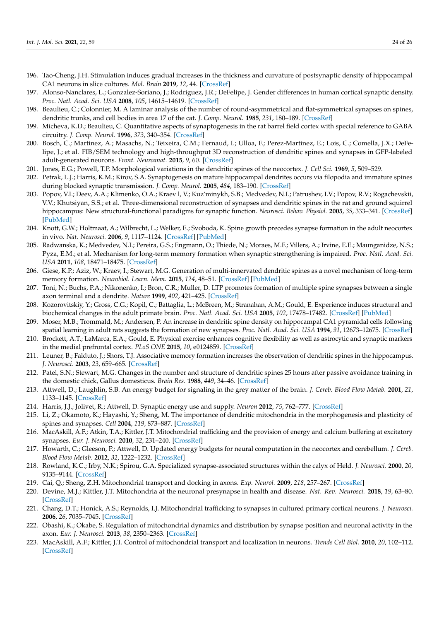- <span id="page-23-0"></span>196. Tao-Cheng, J.H. Stimulation induces gradual increases in the thickness and curvature of postsynaptic density of hippocampal CA1 neurons in slice cultures. *Mol. Brain* **2019**, *12*, 44. [\[CrossRef\]](http://dx.doi.org/10.1186/s13041-019-0468-x)
- <span id="page-23-1"></span>197. Alonso-Nanclares, L.; Gonzalez-Soriano, J.; Rodriguez, J.R.; DeFelipe, J. Gender differences in human cortical synaptic density. *Proc. Natl. Acad. Sci. USA* **2008**, *105*, 14615–14619. [\[CrossRef\]](http://dx.doi.org/10.1073/pnas.0803652105)
- <span id="page-23-2"></span>198. Beaulieu, C.; Colonnier, M. A laminar analysis of the number of round-asymmetrical and flat-symmetrical synapses on spines, dendritic trunks, and cell bodies in area 17 of the cat. *J. Comp. Neurol.* **1985**, *231*, 180–189. [\[CrossRef\]](http://dx.doi.org/10.1002/cne.902310206)
- <span id="page-23-3"></span>199. Micheva, K.D.; Beaulieu, C. Quantitative aspects of synaptogenesis in the rat barrel field cortex with special reference to GABA circuitry. *J. Comp. Neurol.* **1996**, *373*, 340–354. [\[CrossRef\]](http://dx.doi.org/10.1002/(SICI)1096-9861(19960923)373:3<340::AID-CNE3>3.0.CO;2-2)
- <span id="page-23-4"></span>200. Bosch, C.; Martinez, A.; Masachs, N.; Teixeira, C.M.; Fernaud, I.; Ulloa, F.; Perez-Martinez, E.; Lois, C.; Comella, J.X.; DeFelipe, J.; et al. FIB/SEM technology and high-throughput 3D reconstruction of dendritic spines and synapses in GFP-labeled adult-generated neurons. *Front. Neuroanat.* **2015**, *9*, 60. [\[CrossRef\]](http://dx.doi.org/10.3389/fnana.2015.00060)
- <span id="page-23-9"></span>201. Jones, E.G.; Powell, T.P. Morphological variations in the dendritic spines of the neocortex. *J. Cell Sci.* **1969**, *5*, 509–529.
- 202. Petrak, L.J.; Harris, K.M.; Kirov, S.A. Synaptogenesis on mature hippocampal dendrites occurs via filopodia and immature spines during blocked synaptic transmission. *J. Comp. Neurol.* **2005**, *484*, 183–190. [\[CrossRef\]](http://dx.doi.org/10.1002/cne.20468)
- <span id="page-23-5"></span>203. Popov, V.I.; Deev, A.A.; Klimenko, O.A.; Kraev l, V.; Kuz'minykh, S.B.; Medvedev, N.I.; Patrushev, I.V.; Popov, R.V.; Rogachevskii, V.V.; Khutsiyan, S.S.; et al. Three-dimensional reconstruction of synapses and dendritic spines in the rat and ground squirrel hippocampus: New structural-functional paradigms for synaptic function. *Neurosci. Behav. Physiol.* **2005**, *35*, 333–341. [\[CrossRef\]](http://dx.doi.org/10.1007/s11055-005-0030-4) [\[PubMed\]](http://www.ncbi.nlm.nih.gov/pubmed/15929558)
- <span id="page-23-6"></span>204. Knott, G.W.; Holtmaat, A.; Wilbrecht, L.; Welker, E.; Svoboda, K. Spine growth precedes synapse formation in the adult neocortex in vivo. *Nat. Neurosci.* **2006**, *9*, 1117–1124. [\[CrossRef\]](http://dx.doi.org/10.1038/nn1747) [\[PubMed\]](http://www.ncbi.nlm.nih.gov/pubmed/16892056)
- <span id="page-23-7"></span>205. Radwanska, K.; Medvedev, N.I.; Pereira, G.S.; Engmann, O.; Thiede, N.; Moraes, M.F.; Villers, A.; Irvine, E.E.; Maunganidze, N.S.; Pyza, E.M.; et al. Mechanism for long-term memory formation when synaptic strengthening is impaired. *Proc. Natl. Acad. Sci. USA* **2011**, *108*, 18471–18475. [\[CrossRef\]](http://dx.doi.org/10.1073/pnas.1109680108)
- 206. Giese, K.P.; Aziz, W.; Kraev, I.; Stewart, M.G. Generation of multi-innervated dendritic spines as a novel mechanism of long-term memory formation. *Neurobiol. Learn. Mem.* **2015**, *124*, 48–51. [\[CrossRef\]](http://dx.doi.org/10.1016/j.nlm.2015.04.009) [\[PubMed\]](http://www.ncbi.nlm.nih.gov/pubmed/25933505)
- <span id="page-23-8"></span>207. Toni, N.; Buchs, P.A.; Nikonenko, I.; Bron, C.R.; Muller, D. LTP promotes formation of multiple spine synapses between a single axon terminal and a dendrite. *Nature* **1999**, *402*, 421–425. [\[CrossRef\]](http://dx.doi.org/10.1038/46574)
- <span id="page-23-10"></span>208. Kozorovitskiy, Y.; Gross, C.G.; Kopil, C.; Battaglia, L.; McBreen, M.; Stranahan, A.M.; Gould, E. Experience induces structural and biochemical changes in the adult primate brain. *Proc. Natl. Acad. Sci. USA* **2005**, *102*, 17478–17482. [\[CrossRef\]](http://dx.doi.org/10.1073/pnas.0508817102) [\[PubMed\]](http://www.ncbi.nlm.nih.gov/pubmed/16299105)
- <span id="page-23-11"></span>209. Moser, M.B.; Trommald, M.; Andersen, P. An increase in dendritic spine density on hippocampal CA1 pyramidal cells following spatial learning in adult rats suggests the formation of new synapses. *Proc. Natl. Acad. Sci. USA* **1994**, *91*, 12673–12675. [\[CrossRef\]](http://dx.doi.org/10.1073/pnas.91.26.12673)
- <span id="page-23-12"></span>210. Brockett, A.T.; LaMarca, E.A.; Gould, E. Physical exercise enhances cognitive flexibility as well as astrocytic and synaptic markers in the medial prefrontal cortex. *PLoS ONE* **2015**, *10*, e0124859. [\[CrossRef\]](http://dx.doi.org/10.1371/journal.pone.0124859)
- <span id="page-23-13"></span>211. Leuner, B.; Falduto, J.; Shors, T.J. Associative memory formation increases the observation of dendritic spines in the hippocampus. *J. Neurosci.* **2003**, *23*, 659–665. [\[CrossRef\]](http://dx.doi.org/10.1523/JNEUROSCI.23-02-00659.2003)
- <span id="page-23-14"></span>212. Patel, S.N.; Stewart, M.G. Changes in the number and structure of dendritic spines 25 hours after passive avoidance training in the domestic chick, Gallus domesticus. *Brain Res.* **1988**, *449*, 34–46. [\[CrossRef\]](http://dx.doi.org/10.1016/0006-8993(88)91021-9)
- <span id="page-23-15"></span>213. Attwell, D.; Laughlin, S.B. An energy budget for signaling in the grey matter of the brain. *J. Cereb. Blood Flow Metab.* **2001**, *21*, 1133–1145. [\[CrossRef\]](http://dx.doi.org/10.1097/00004647-200110000-00001)
- <span id="page-23-20"></span>214. Harris, J.J.; Jolivet, R.; Attwell, D. Synaptic energy use and supply. *Neuron* **2012**, *75*, 762–777. [\[CrossRef\]](http://dx.doi.org/10.1016/j.neuron.2012.08.019)
- <span id="page-23-21"></span>215. Li, Z.; Okamoto, K.; Hayashi, Y.; Sheng, M. The importance of dendritic mitochondria in the morphogenesis and plasticity of spines and synapses. *Cell* **2004**, *119*, 873–887. [\[CrossRef\]](http://dx.doi.org/10.1016/j.cell.2004.11.003)
- <span id="page-23-16"></span>216. MacAskill, A.F.; Atkin, T.A.; Kittler, J.T. Mitochondrial trafficking and the provision of energy and calcium buffering at excitatory synapses. *Eur. J. Neurosci.* **2010**, *32*, 231–240. [\[CrossRef\]](http://dx.doi.org/10.1111/j.1460-9568.2010.07345.x)
- <span id="page-23-17"></span>217. Howarth, C.; Gleeson, P.; Attwell, D. Updated energy budgets for neural computation in the neocortex and cerebellum. *J. Cereb. Blood Flow Metab.* **2012**, *32*, 1222–1232. [\[CrossRef\]](http://dx.doi.org/10.1038/jcbfm.2012.35)
- <span id="page-23-18"></span>218. Rowland, K.C.; Irby, N.K.; Spirou, G.A. Specialized synapse-associated structures within the calyx of Held. *J. Neurosci.* **2000**, *20*, 9135–9144. [\[CrossRef\]](http://dx.doi.org/10.1523/JNEUROSCI.20-24-09135.2000)
- <span id="page-23-19"></span>219. Cai, Q.; Sheng, Z.H. Mitochondrial transport and docking in axons. *Exp. Neurol.* **2009**, *218*, 257–267. [\[CrossRef\]](http://dx.doi.org/10.1016/j.expneurol.2009.03.024)
- 220. Devine, M.J.; Kittler, J.T. Mitochondria at the neuronal presynapse in health and disease. *Nat. Rev. Neurosci.* **2018**, *19*, 63–80. [\[CrossRef\]](http://dx.doi.org/10.1038/nrn.2017.170)
- 221. Chang, D.T.; Honick, A.S.; Reynolds, I.J. Mitochondrial trafficking to synapses in cultured primary cortical neurons. *J. Neurosci.* **2006**, *26*, 7035–7045. [\[CrossRef\]](http://dx.doi.org/10.1523/JNEUROSCI.1012-06.2006)
- <span id="page-23-22"></span>222. Obashi, K.; Okabe, S. Regulation of mitochondrial dynamics and distribution by synapse position and neuronal activity in the axon. *Eur. J. Neurosci.* **2013**, *38*, 2350–2363. [\[CrossRef\]](http://dx.doi.org/10.1111/ejn.12263)
- 223. MacAskill, A.F.; Kittler, J.T. Control of mitochondrial transport and localization in neurons. *Trends Cell Biol.* **2010**, *20*, 102–112. [\[CrossRef\]](http://dx.doi.org/10.1016/j.tcb.2009.11.002)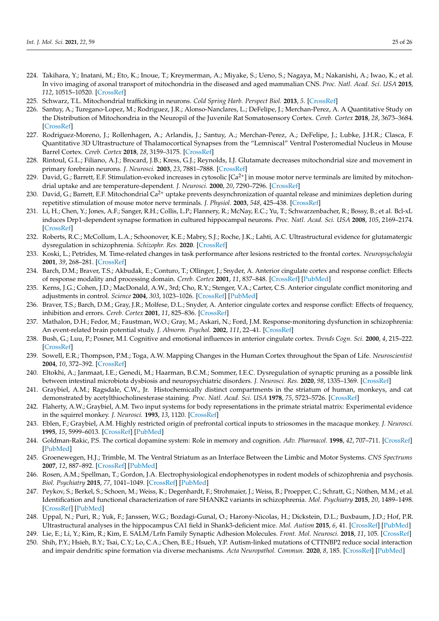- 224. Takihara, Y.; Inatani, M.; Eto, K.; Inoue, T.; Kreymerman, A.; Miyake, S.; Ueno, S.; Nagaya, M.; Nakanishi, A.; Iwao, K.; et al. In vivo imaging of axonal transport of mitochondria in the diseased and aged mammalian CNS. *Proc. Natl. Acad. Sci. USA* **2015**, *112*, 10515–10520. [\[CrossRef\]](http://dx.doi.org/10.1073/pnas.1509879112)
- <span id="page-24-0"></span>225. Schwarz, T.L. Mitochondrial trafficking in neurons. *Cold Spring Harb. Perspect Biol.* **2013**, *5*. [\[CrossRef\]](http://dx.doi.org/10.1101/cshperspect.a011304)
- <span id="page-24-1"></span>226. Santuy, A.; Turegano-Lopez, M.; Rodriguez, J.R.; Alonso-Nanclares, L.; DeFelipe, J.; Merchan-Perez, A. A Quantitative Study on the Distribution of Mitochondria in the Neuropil of the Juvenile Rat Somatosensory Cortex. *Cereb. Cortex* **2018**, *28*, 3673–3684. [\[CrossRef\]](http://dx.doi.org/10.1093/cercor/bhy159)
- <span id="page-24-2"></span>227. Rodriguez-Moreno, J.; Rollenhagen, A.; Arlandis, J.; Santuy, A.; Merchan-Perez, A.; DeFelipe, J.; Lubke, J.H.R.; Clasca, F. Quantitative 3D Ultrastructure of Thalamocortical Synapses from the "Lemniscal" Ventral Posteromedial Nucleus in Mouse Barrel Cortex. *Cereb. Cortex* **2018**, *28*, 3159–3175. [\[CrossRef\]](http://dx.doi.org/10.1093/cercor/bhx187)
- <span id="page-24-3"></span>228. Rintoul, G.L.; Filiano, A.J.; Brocard, J.B.; Kress, G.J.; Reynolds, I.J. Glutamate decreases mitochondrial size and movement in primary forebrain neurons. *J. Neurosci.* **2003**, *23*, 7881–7888. [\[CrossRef\]](http://dx.doi.org/10.1523/JNEUROSCI.23-21-07881.2003)
- <span id="page-24-4"></span>229. David, G.; Barrett, E.F. Stimulation-evoked increases in cytosolic  $\lceil Ca^{2+} \rceil$  in mouse motor nerve terminals are limited by mitochondrial uptake and are temperature-dependent. *J. Neurosci.* **2000**, *20*, 7290–7296. [\[CrossRef\]](http://dx.doi.org/10.1523/JNEUROSCI.20-19-07290.2000)
- <span id="page-24-5"></span>230. David, G.; Barrett, E.F. Mitochondrial  $Ca^{2+}$  uptake prevents desynchronization of quantal release and minimizes depletion during repetitive stimulation of mouse motor nerve terminals. *J. Physiol.* **2003**, *548*, 425–438. [\[CrossRef\]](http://dx.doi.org/10.1113/jphysiol.2002.035196)
- <span id="page-24-6"></span>231. Li, H.; Chen, Y.; Jones, A.F.; Sanger, R.H.; Collis, L.P.; Flannery, R.; McNay, E.C.; Yu, T.; Schwarzenbacher, R.; Bossy, B.; et al. Bcl-xL induces Drp1-dependent synapse formation in cultured hippocampal neurons. *Proc. Natl. Acad. Sci. USA* **2008**, *105*, 2169–2174. [\[CrossRef\]](http://dx.doi.org/10.1073/pnas.0711647105)
- <span id="page-24-7"></span>232. Roberts, R.C.; McCollum, L.A.; Schoonover, K.E.; Mabry, S.J.; Roche, J.K.; Lahti, A.C. Ultrastructural evidence for glutamatergic dysregulation in schizophrenia. *Schizophr. Res.* **2020**. [\[CrossRef\]](http://dx.doi.org/10.1016/j.schres.2020.01.016)
- <span id="page-24-8"></span>233. Koski, L.; Petrides, M. Time-related changes in task performance after lesions restricted to the frontal cortex. *Neuropsychologia* **2001**, *39*, 268–281. [\[CrossRef\]](http://dx.doi.org/10.1016/S0028-3932(00)00110-X)
- <span id="page-24-9"></span>234. Barch, D.M.; Braver, T.S.; Akbudak, E.; Conturo, T.; Ollinger, J.; Snyder, A. Anterior cingulate cortex and response conflict: Effects of response modality and processing domain. *Cereb. Cortex* **2001**, *11*, 837–848. [\[CrossRef\]](http://dx.doi.org/10.1093/cercor/11.9.837) [\[PubMed\]](http://www.ncbi.nlm.nih.gov/pubmed/11532889)
- <span id="page-24-10"></span>235. Kerns, J.G.; Cohen, J.D.; MacDonald, A.W., 3rd; Cho, R.Y.; Stenger, V.A.; Carter, C.S. Anterior cingulate conflict monitoring and adjustments in control. *Science* **2004**, *303*, 1023–1026. [\[CrossRef\]](http://dx.doi.org/10.1126/science.1089910) [\[PubMed\]](http://www.ncbi.nlm.nih.gov/pubmed/14963333)
- <span id="page-24-11"></span>236. Braver, T.S.; Barch, D.M.; Gray, J.R.; Molfese, D.L.; Snyder, A. Anterior cingulate cortex and response conflict: Effects of frequency, inhibition and errors. *Cereb. Cortex* **2001**, *11*, 825–836. [\[CrossRef\]](http://dx.doi.org/10.1093/cercor/11.9.825)
- <span id="page-24-12"></span>237. Mathalon, D.H.; Fedor, M.; Faustman, W.O.; Gray, M.; Askari, N.; Ford, J.M. Response-monitoring dysfunction in schizophrenia: An event-related brain potential study. *J. Abnorm. Psychol.* **2002**, *111*, 22–41. [\[CrossRef\]](http://dx.doi.org/10.1037/0021-843X.111.1.22)
- <span id="page-24-13"></span>238. Bush, G.; Luu, P.; Posner, M.I. Cognitive and emotional influences in anterior cingulate cortex. *Trends Cogn. Sci.* **2000**, *4*, 215–222. [\[CrossRef\]](http://dx.doi.org/10.1016/S1364-6613(00)01483-2)
- <span id="page-24-14"></span>239. Sowell, E.R.; Thompson, P.M.; Toga, A.W. Mapping Changes in the Human Cortex throughout the Span of Life. *Neuroscientist* **2004**, *10*, 372–392. [\[CrossRef\]](http://dx.doi.org/10.1177/1073858404263960)
- <span id="page-24-15"></span>240. Eltokhi, A.; Janmaat, I.E.; Genedi, M.; Haarman, B.C.M.; Sommer, I.E.C. Dysregulation of synaptic pruning as a possible link between intestinal microbiota dysbiosis and neuropsychiatric disorders. *J. Neurosci. Res.* **2020**, *98*, 1335–1369. [\[CrossRef\]](http://dx.doi.org/10.1002/jnr.24616)
- <span id="page-24-16"></span>241. Graybiel, A.M.; Ragsdale, C.W., Jr. Histochemically distinct compartments in the striatum of human, monkeys, and cat demonstrated by acetylthiocholinesterase staining. *Proc. Natl. Acad. Sci. USA* **1978**, *75*, 5723–5726. [\[CrossRef\]](http://dx.doi.org/10.1073/pnas.75.11.5723)
- <span id="page-24-17"></span>242. Flaherty, A.W.; Graybiel, A.M. Two input systems for body representations in the primate striatal matrix: Experimental evidence in the squirrel monkey. *J. Neurosci.* **1993**, *13*, 1120. [\[CrossRef\]](http://dx.doi.org/10.1523/JNEUROSCI.13-03-01120.1993)
- <span id="page-24-18"></span>243. Eblen, F.; Graybiel, A.M. Highly restricted origin of prefrontal cortical inputs to striosomes in the macaque monkey. *J. Neurosci.* **1995**, *15*, 5999–6013. [\[CrossRef\]](http://dx.doi.org/10.1523/JNEUROSCI.15-09-05999.1995) [\[PubMed\]](http://www.ncbi.nlm.nih.gov/pubmed/7666184)
- <span id="page-24-19"></span>244. Goldman-Rakic, P.S. The cortical dopamine system: Role in memory and cognition. *Adv. Pharmacol.* **1998**, *42*, 707–711. [\[CrossRef\]](http://dx.doi.org/10.1016/s1054-3589(08)60846-7) [\[PubMed\]](http://www.ncbi.nlm.nih.gov/pubmed/9327997)
- <span id="page-24-20"></span>245. Groenewegen, H.J.; Trimble, M. The Ventral Striatum as an Interface Between the Limbic and Motor Systems. *CNS Spectrums* **2007**, *12*, 887–892. [\[CrossRef\]](http://dx.doi.org/10.1017/S1092852900015650) [\[PubMed\]](http://www.ncbi.nlm.nih.gov/pubmed/18163034)
- <span id="page-24-21"></span>246. Rosen, A.M.; Spellman, T.; Gordon, J.A. Electrophysiological endophenotypes in rodent models of schizophrenia and psychosis. *Biol. Psychiatry* **2015**, *77*, 1041–1049. [\[CrossRef\]](http://dx.doi.org/10.1016/j.biopsych.2015.03.021) [\[PubMed\]](http://www.ncbi.nlm.nih.gov/pubmed/25910423)
- <span id="page-24-22"></span>247. Peykov, S.; Berkel, S.; Schoen, M.; Weiss, K.; Degenhardt, F.; Strohmaier, J.; Weiss, B.; Proepper, C.; Schratt, G.; Nöthen, M.M.; et al. Identification and functional characterization of rare SHANK2 variants in schizophrenia. *Mol. Psychiatry* **2015**, *20*, 1489–1498. [\[CrossRef\]](http://dx.doi.org/10.1038/mp.2014.172) [\[PubMed\]](http://www.ncbi.nlm.nih.gov/pubmed/25560758)
- <span id="page-24-23"></span>248. Uppal, N.; Puri, R.; Yuk, F.; Janssen, W.G.; Bozdagi-Gunal, O.; Harony-Nicolas, H.; Dickstein, D.L.; Buxbaum, J.D.; Hof, P.R. Ultrastructural analyses in the hippocampus CA1 field in Shank3-deficient mice. *Mol. Autism* **2015**, *6*, 41. [\[CrossRef\]](http://dx.doi.org/10.1186/s13229-015-0036-x) [\[PubMed\]](http://www.ncbi.nlm.nih.gov/pubmed/26137200)
- <span id="page-24-24"></span>249. Lie, E.; Li, Y.; Kim, R.; Kim, E. SALM/Lrfn Family Synaptic Adhesion Molecules. *Front. Mol. Neurosci.* **2018**, *11*, 105. [\[CrossRef\]](http://dx.doi.org/10.3389/fnmol.2018.00105)
- <span id="page-24-25"></span>250. Shih, P.Y.; Hsieh, B.Y.; Tsai, C.Y.; Lo, C.A.; Chen, B.E.; Hsueh, Y.P. Autism-linked mutations of CTTNBP2 reduce social interaction and impair dendritic spine formation via diverse mechanisms. *Acta Neuropathol. Commun.* **2020**, *8*, 185. [\[CrossRef\]](http://dx.doi.org/10.1186/s40478-020-01053-x) [\[PubMed\]](http://www.ncbi.nlm.nih.gov/pubmed/33168105)